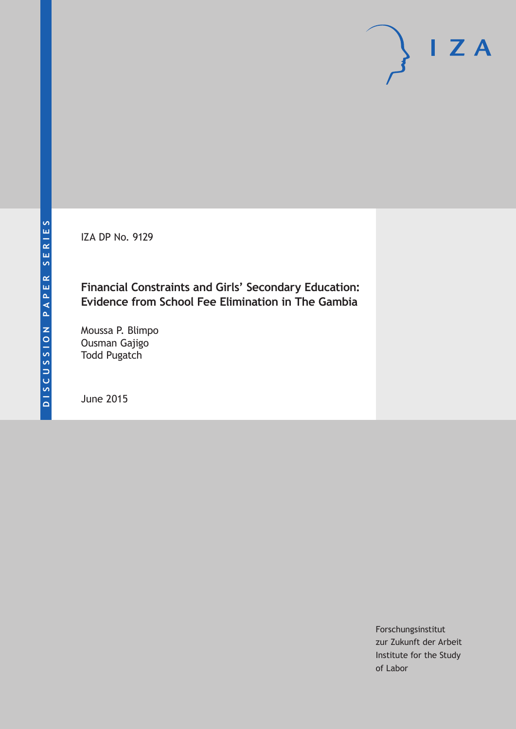IZA DP No. 9129

**Financial Constraints and Girls' Secondary Education: Evidence from School Fee Elimination in The Gambia**

Moussa P. Blimpo Ousman Gajigo Todd Pugatch

June 2015

Forschungsinstitut zur Zukunft der Arbeit Institute for the Study of Labor

 $I Z A$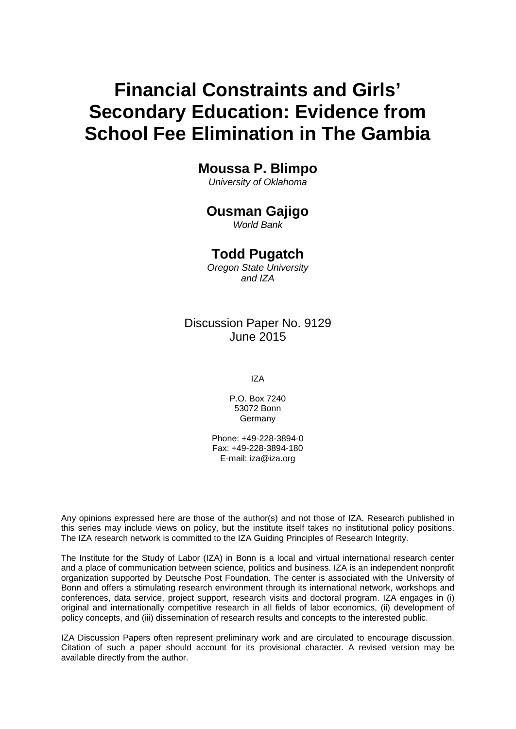# **Financial Constraints and Girls' Secondary Education: Evidence from School Fee Elimination in The Gambia**

## **Moussa P. Blimpo**

*University of Oklahoma*

# **Ousman Gajigo**

*World Bank*

## **Todd Pugatch**

*Oregon State University and IZA*

## Discussion Paper No. 9129 June 2015

IZA

P.O. Box 7240 53072 Bonn **Germany** 

Phone: +49-228-3894-0 Fax: +49-228-3894-180 E-mail: iza@iza.org

Any opinions expressed here are those of the author(s) and not those of IZA. Research published in this series may include views on policy, but the institute itself takes no institutional policy positions. The IZA research network is committed to the IZA Guiding Principles of Research Integrity.

The Institute for the Study of Labor (IZA) in Bonn is a local and virtual international research center and a place of communication between science, politics and business. IZA is an independent nonprofit organization supported by Deutsche Post Foundation. The center is associated with the University of Bonn and offers a stimulating research environment through its international network, workshops and conferences, data service, project support, research visits and doctoral program. IZA engages in (i) original and internationally competitive research in all fields of labor economics, (ii) development of policy concepts, and (iii) dissemination of research results and concepts to the interested public.

<span id="page-1-0"></span>IZA Discussion Papers often represent preliminary work and are circulated to encourage discussion. Citation of such a paper should account for its provisional character. A revised version may be available directly from the author.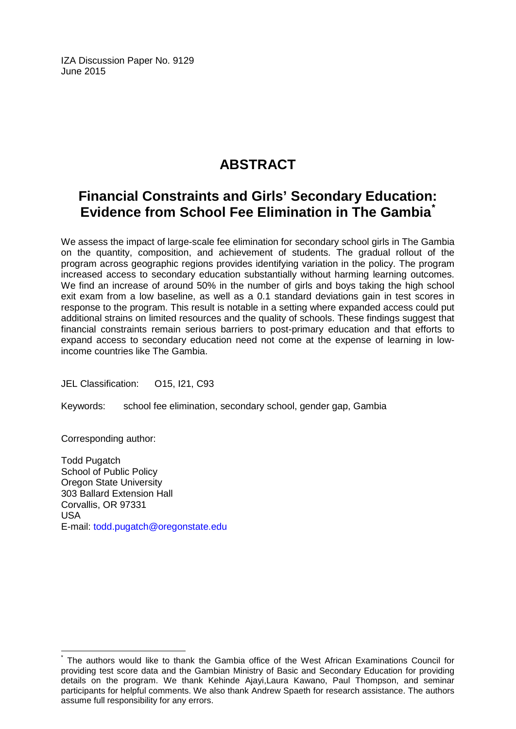IZA Discussion Paper No. 9129 June 2015

# **ABSTRACT**

## **Financial Constraints and Girls' Secondary Education: Evidence from School Fee Elimination in The Gambia[\\*](#page-1-0)**

We assess the impact of large-scale fee elimination for secondary school girls in The Gambia on the quantity, composition, and achievement of students. The gradual rollout of the program across geographic regions provides identifying variation in the policy. The program increased access to secondary education substantially without harming learning outcomes. We find an increase of around 50% in the number of girls and boys taking the high school exit exam from a low baseline, as well as a 0.1 standard deviations gain in test scores in response to the program. This result is notable in a setting where expanded access could put additional strains on limited resources and the quality of schools. These findings suggest that financial constraints remain serious barriers to post-primary education and that efforts to expand access to secondary education need not come at the expense of learning in lowincome countries like The Gambia.

JEL Classification: O15, I21, C93

Keywords: school fee elimination, secondary school, gender gap, Gambia

Corresponding author:

Todd Pugatch School of Public Policy Oregon State University 303 Ballard Extension Hall Corvallis, OR 97331 USA E-mail: [todd.pugatch@oregonstate.edu](mailto:todd.pugatch@oregonstate.edu)

The authors would like to thank the Gambia office of the West African Examinations Council for providing test score data and the Gambian Ministry of Basic and Secondary Education for providing details on the program. We thank Kehinde Ajayi,Laura Kawano, Paul Thompson, and seminar participants for helpful comments. We also thank Andrew Spaeth for research assistance. The authors assume full responsibility for any errors.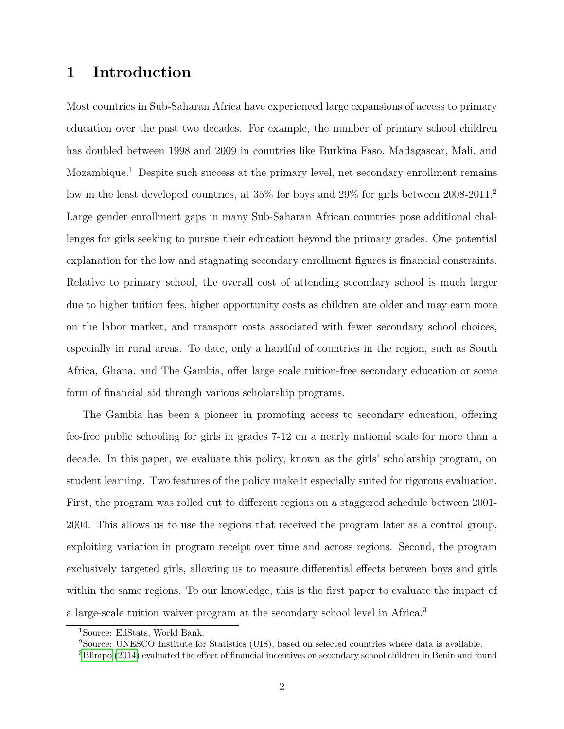## 1 Introduction

Most countries in Sub-Saharan Africa have experienced large expansions of access to primary education over the past two decades. For example, the number of primary school children has doubled between 1998 and 2009 in countries like Burkina Faso, Madagascar, Mali, and Mozambique.<sup>1</sup> Despite such success at the primary level, net secondary enrollment remains low in the least developed countries, at  $35\%$  for boys and  $29\%$  for girls between  $2008-2011$ . Large gender enrollment gaps in many Sub-Saharan African countries pose additional challenges for girls seeking to pursue their education beyond the primary grades. One potential explanation for the low and stagnating secondary enrollment figures is financial constraints. Relative to primary school, the overall cost of attending secondary school is much larger due to higher tuition fees, higher opportunity costs as children are older and may earn more on the labor market, and transport costs associated with fewer secondary school choices, especially in rural areas. To date, only a handful of countries in the region, such as South Africa, Ghana, and The Gambia, offer large scale tuition-free secondary education or some form of financial aid through various scholarship programs.

The Gambia has been a pioneer in promoting access to secondary education, offering fee-free public schooling for girls in grades 7-12 on a nearly national scale for more than a decade. In this paper, we evaluate this policy, known as the girls' scholarship program, on student learning. Two features of the policy make it especially suited for rigorous evaluation. First, the program was rolled out to different regions on a staggered schedule between 2001- 2004. This allows us to use the regions that received the program later as a control group, exploiting variation in program receipt over time and across regions. Second, the program exclusively targeted girls, allowing us to measure differential effects between boys and girls within the same regions. To our knowledge, this is the first paper to evaluate the impact of a large-scale tuition waiver program at the secondary school level in Africa.<sup>3</sup>

<sup>1</sup>Source: EdStats, World Bank.

<sup>2</sup>Source: UNESCO Institute for Statistics (UIS), based on selected countries where data is available.

 $3B$ limpo [\(2014\)](#page-24-0) evaluated the effect of financial incentives on secondary school children in Benin and found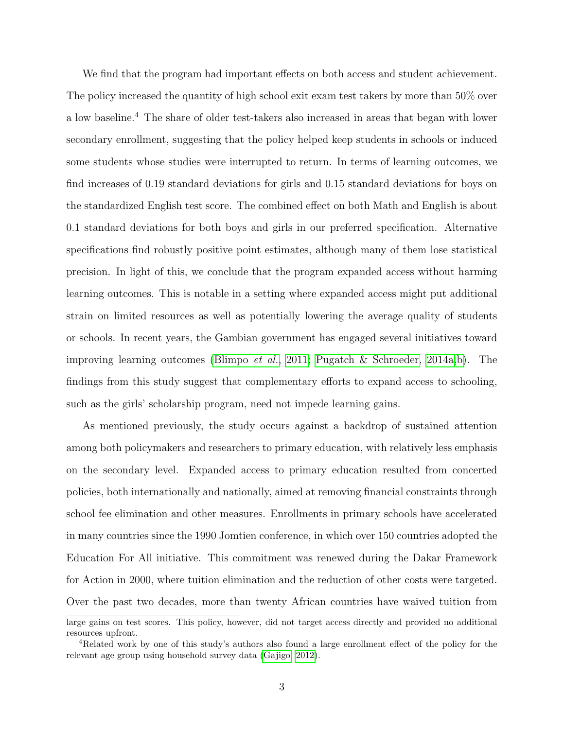We find that the program had important effects on both access and student achievement. The policy increased the quantity of high school exit exam test takers by more than 50% over a low baseline.<sup>4</sup> The share of older test-takers also increased in areas that began with lower secondary enrollment, suggesting that the policy helped keep students in schools or induced some students whose studies were interrupted to return. In terms of learning outcomes, we find increases of 0.19 standard deviations for girls and 0.15 standard deviations for boys on the standardized English test score. The combined effect on both Math and English is about 0.1 standard deviations for both boys and girls in our preferred specification. Alternative specifications find robustly positive point estimates, although many of them lose statistical precision. In light of this, we conclude that the program expanded access without harming learning outcomes. This is notable in a setting where expanded access might put additional strain on limited resources as well as potentially lowering the average quality of students or schools. In recent years, the Gambian government has engaged several initiatives toward improving learning outcomes [\(Blimpo](#page-24-1) et al., [2011;](#page-24-1) [Pugatch & Schroeder, 2014a,](#page-26-0)[b\)](#page-26-1). The findings from this study suggest that complementary efforts to expand access to schooling, such as the girls' scholarship program, need not impede learning gains.

As mentioned previously, the study occurs against a backdrop of sustained attention among both policymakers and researchers to primary education, with relatively less emphasis on the secondary level. Expanded access to primary education resulted from concerted policies, both internationally and nationally, aimed at removing financial constraints through school fee elimination and other measures. Enrollments in primary schools have accelerated in many countries since the 1990 Jomtien conference, in which over 150 countries adopted the Education For All initiative. This commitment was renewed during the Dakar Framework for Action in 2000, where tuition elimination and the reduction of other costs were targeted. Over the past two decades, more than twenty African countries have waived tuition from

large gains on test scores. This policy, however, did not target access directly and provided no additional resources upfront.

<sup>4</sup>Related work by one of this study's authors also found a large enrollment effect of the policy for the relevant age group using household survey data [\(Gajigo, 2012\)](#page-24-2).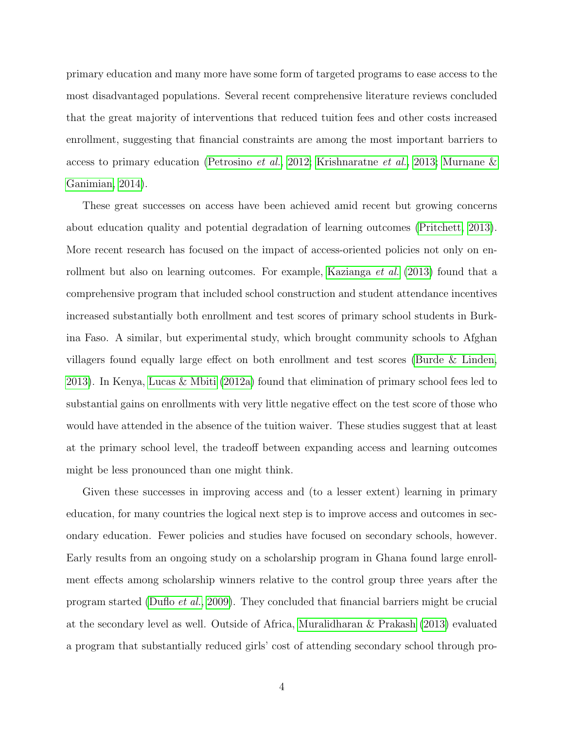primary education and many more have some form of targeted programs to ease access to the most disadvantaged populations. Several recent comprehensive literature reviews concluded that the great majority of interventions that reduced tuition fees and other costs increased enrollment, suggesting that financial constraints are among the most important barriers to access to primary education [\(Petrosino](#page-25-0) et al., [2012;](#page-25-0) [Krishnaratne](#page-25-1) et al., [2013;](#page-25-1) [Murnane &](#page-25-2) [Ganimian, 2014\)](#page-25-2).

These great successes on access have been achieved amid recent but growing concerns about education quality and potential degradation of learning outcomes [\(Pritchett, 2013\)](#page-26-2). More recent research has focused on the impact of access-oriented policies not only on en-rollment but also on learning outcomes. For example, [Kazianga](#page-25-3) *et al.* [\(2013\)](#page-25-3) found that a comprehensive program that included school construction and student attendance incentives increased substantially both enrollment and test scores of primary school students in Burkina Faso. A similar, but experimental study, which brought community schools to Afghan villagers found equally large effect on both enrollment and test scores [\(Burde & Linden,](#page-24-3) [2013\)](#page-24-3). In Kenya, [Lucas & Mbiti](#page-25-4) [\(2012a\)](#page-25-4) found that elimination of primary school fees led to substantial gains on enrollments with very little negative effect on the test score of those who would have attended in the absence of the tuition waiver. These studies suggest that at least at the primary school level, the tradeoff between expanding access and learning outcomes might be less pronounced than one might think.

Given these successes in improving access and (to a lesser extent) learning in primary education, for many countries the logical next step is to improve access and outcomes in secondary education. Fewer policies and studies have focused on secondary schools, however. Early results from an ongoing study on a scholarship program in Ghana found large enrollment effects among scholarship winners relative to the control group three years after the program started [\(Duflo](#page-24-4) et al., [2009\)](#page-24-4). They concluded that financial barriers might be crucial at the secondary level as well. Outside of Africa, [Muralidharan & Prakash](#page-25-5) [\(2013\)](#page-25-5) evaluated a program that substantially reduced girls' cost of attending secondary school through pro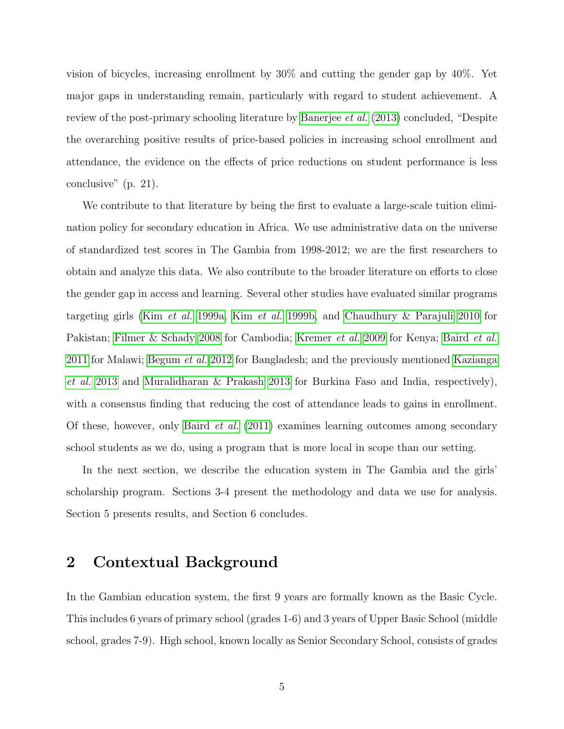vision of bicycles, increasing enrollment by 30% and cutting the gender gap by 40%. Yet major gaps in understanding remain, particularly with regard to student achievement. A review of the post-primary schooling literature by [Banerjee](#page-24-5) et al. [\(2013\)](#page-24-5) concluded, "Despite the overarching positive results of price-based policies in increasing school enrollment and attendance, the evidence on the effects of price reductions on student performance is less conclusive" (p. 21).

We contribute to that literature by being the first to evaluate a large-scale tuition elimination policy for secondary education in Africa. We use administrative data on the universe of standardized test scores in The Gambia from 1998-2012; we are the first researchers to obtain and analyze this data. We also contribute to the broader literature on efforts to close the gender gap in access and learning. Several other studies have evaluated similar programs targeting girls (Kim [et al.](#page-25-6) [1999a,](#page-25-6) Kim [et al.](#page-25-7) [1999b,](#page-25-7) and [Chaudhury & Parajuli 2010](#page-24-6) for Pakistan; [Filmer & Schady 2008](#page-24-7) for Cambodia; [Kremer](#page-25-8) et al. [2009](#page-25-8) for Kenya; [Baird](#page-24-8) et al. [2011](#page-24-8) for Malawi; [Begum](#page-24-9) et al. [2012](#page-24-9) for Bangladesh; and the previously mentioned [Kazianga](#page-25-3) [et al.](#page-25-3) [2013](#page-25-3) and [Muralidharan & Prakash 2013](#page-25-5) for Burkina Faso and India, respectively), with a consensus finding that reducing the cost of attendance leads to gains in enrollment. Of these, however, only [Baird](#page-24-8) et al. [\(2011\)](#page-24-8) examines learning outcomes among secondary school students as we do, using a program that is more local in scope than our setting.

In the next section, we describe the education system in The Gambia and the girls' scholarship program. Sections 3-4 present the methodology and data we use for analysis. Section 5 presents results, and Section 6 concludes.

## 2 Contextual Background

In the Gambian education system, the first 9 years are formally known as the Basic Cycle. This includes 6 years of primary school (grades 1-6) and 3 years of Upper Basic School (middle school, grades 7-9). High school, known locally as Senior Secondary School, consists of grades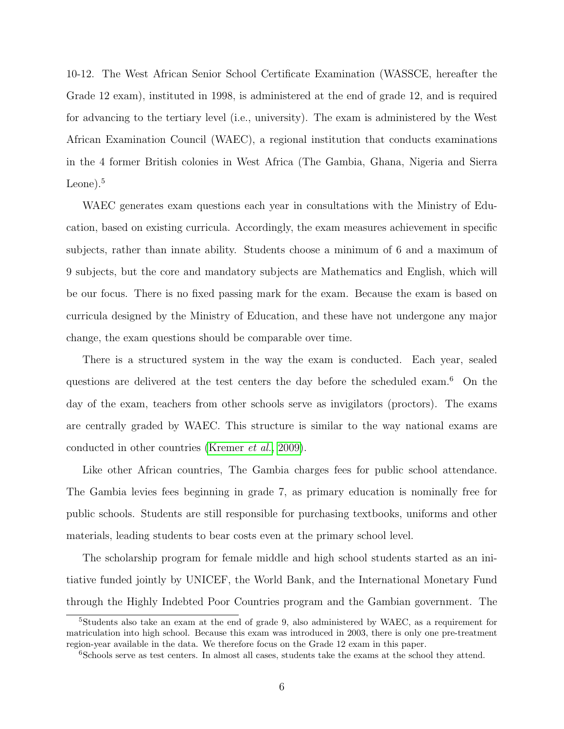10-12. The West African Senior School Certificate Examination (WASSCE, hereafter the Grade 12 exam), instituted in 1998, is administered at the end of grade 12, and is required for advancing to the tertiary level (i.e., university). The exam is administered by the West African Examination Council (WAEC), a regional institution that conducts examinations in the 4 former British colonies in West Africa (The Gambia, Ghana, Nigeria and Sierra Leone). $5$ 

WAEC generates exam questions each year in consultations with the Ministry of Education, based on existing curricula. Accordingly, the exam measures achievement in specific subjects, rather than innate ability. Students choose a minimum of 6 and a maximum of 9 subjects, but the core and mandatory subjects are Mathematics and English, which will be our focus. There is no fixed passing mark for the exam. Because the exam is based on curricula designed by the Ministry of Education, and these have not undergone any major change, the exam questions should be comparable over time.

There is a structured system in the way the exam is conducted. Each year, sealed questions are delivered at the test centers the day before the scheduled exam.<sup>6</sup> On the day of the exam, teachers from other schools serve as invigilators (proctors). The exams are centrally graded by WAEC. This structure is similar to the way national exams are conducted in other countries [\(Kremer](#page-25-8) et al., [2009\)](#page-25-8).

Like other African countries, The Gambia charges fees for public school attendance. The Gambia levies fees beginning in grade 7, as primary education is nominally free for public schools. Students are still responsible for purchasing textbooks, uniforms and other materials, leading students to bear costs even at the primary school level.

The scholarship program for female middle and high school students started as an initiative funded jointly by UNICEF, the World Bank, and the International Monetary Fund through the Highly Indebted Poor Countries program and the Gambian government. The

<sup>5</sup>Students also take an exam at the end of grade 9, also administered by WAEC, as a requirement for matriculation into high school. Because this exam was introduced in 2003, there is only one pre-treatment region-year available in the data. We therefore focus on the Grade 12 exam in this paper.

<sup>&</sup>lt;sup>6</sup>Schools serve as test centers. In almost all cases, students take the exams at the school they attend.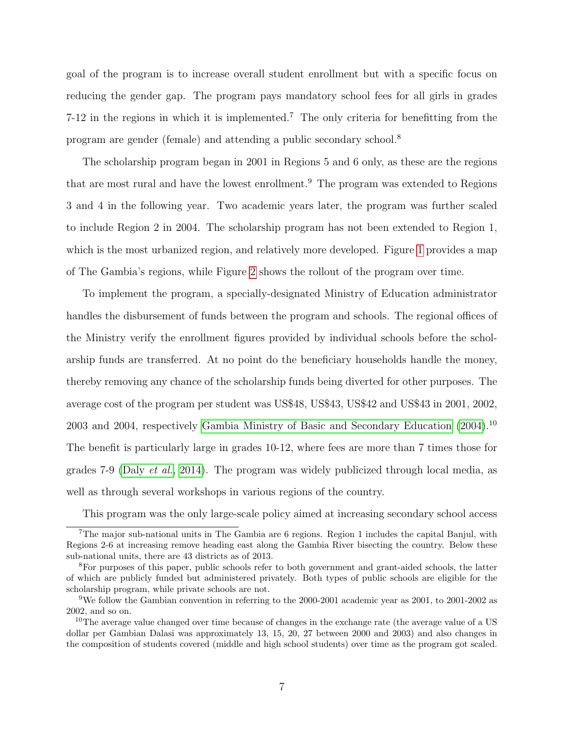goal of the program is to increase overall student enrollment but with a specific focus on reducing the gender gap. The program pays mandatory school fees for all girls in grades 7-12 in the regions in which it is implemented.<sup>7</sup> The only criteria for benefitting from the program are gender (female) and attending a public secondary school.<sup>8</sup>

The scholarship program began in 2001 in Regions 5 and 6 only, as these are the regions that are most rural and have the lowest enrollment.<sup>9</sup> The program was extended to Regions 3 and 4 in the following year. Two academic years later, the program was further scaled to include Region 2 in 2004. The scholarship program has not been extended to Region 1, which is the most urbanized region, and relatively more developed. Figure [1](#page-36-0) provides a map of The Gambia's regions, while Figure [2](#page-36-1) shows the rollout of the program over time.

To implement the program, a specially-designated Ministry of Education administrator handles the disbursement of funds between the program and schools. The regional offices of the Ministry verify the enrollment figures provided by individual schools before the scholarship funds are transferred. At no point do the beneficiary households handle the money, thereby removing any chance of the scholarship funds being diverted for other purposes. The average cost of the program per student was US\$48, US\$43, US\$42 and US\$43 in 2001, 2002, 2003 and 2004, respectively [Gambia Ministry of Basic and Secondary Education](#page-25-9) [\(2004\)](#page-25-9).<sup>10</sup> The benefit is particularly large in grades 10-12, where fees are more than 7 times those for grades 7-9 (Daly [et al.](#page-24-10), [2014\)](#page-24-10). The program was widely publicized through local media, as well as through several workshops in various regions of the country.

This program was the only large-scale policy aimed at increasing secondary school access

<sup>7</sup>The major sub-national units in The Gambia are 6 regions. Region 1 includes the capital Banjul, with Regions 2-6 at increasing remove heading east along the Gambia River bisecting the country. Below these sub-national units, there are 43 districts as of 2013.

<sup>8</sup>For purposes of this paper, public schools refer to both government and grant-aided schools, the latter of which are publicly funded but administered privately. Both types of public schools are eligible for the scholarship program, while private schools are not.

<sup>9</sup>We follow the Gambian convention in referring to the 2000-2001 academic year as 2001, to 2001-2002 as 2002, and so on.

<sup>&</sup>lt;sup>10</sup>The average value changed over time because of changes in the exchange rate (the average value of a US dollar per Gambian Dalasi was approximately 13, 15, 20, 27 between 2000 and 2003) and also changes in the composition of students covered (middle and high school students) over time as the program got scaled.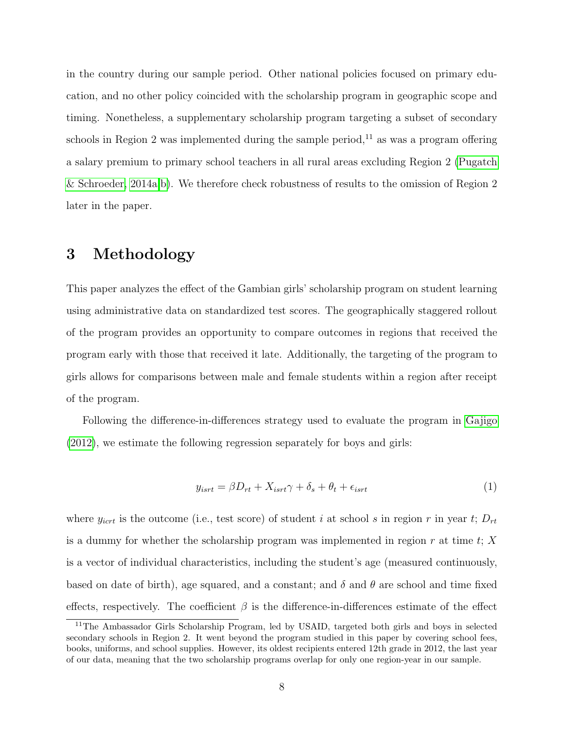in the country during our sample period. Other national policies focused on primary education, and no other policy coincided with the scholarship program in geographic scope and timing. Nonetheless, a supplementary scholarship program targeting a subset of secondary schools in Region 2 was implemented during the sample period,<sup>11</sup> as was a program offering a salary premium to primary school teachers in all rural areas excluding Region 2 [\(Pugatch](#page-26-0) [& Schroeder, 2014a](#page-26-0)[,b\)](#page-26-1). We therefore check robustness of results to the omission of Region 2 later in the paper.

## 3 Methodology

This paper analyzes the effect of the Gambian girls' scholarship program on student learning using administrative data on standardized test scores. The geographically staggered rollout of the program provides an opportunity to compare outcomes in regions that received the program early with those that received it late. Additionally, the targeting of the program to girls allows for comparisons between male and female students within a region after receipt of the program.

Following the difference-in-differences strategy used to evaluate the program in [Gajigo](#page-24-2) [\(2012\)](#page-24-2), we estimate the following regression separately for boys and girls:

<span id="page-9-0"></span>
$$
y_{\text{isrt}} = \beta D_{rt} + X_{\text{isrt}} \gamma + \delta_s + \theta_t + \epsilon_{\text{isrt}} \tag{1}
$$

where  $y_{ict}$  is the outcome (i.e., test score) of student i at school s in region r in year t;  $D_{rt}$ is a dummy for whether the scholarship program was implemented in region  $r$  at time  $t$ ;  $X$ is a vector of individual characteristics, including the student's age (measured continuously, based on date of birth), age squared, and a constant; and  $\delta$  and  $\theta$  are school and time fixed effects, respectively. The coefficient  $\beta$  is the difference-in-differences estimate of the effect

<sup>&</sup>lt;sup>11</sup>The Ambassador Girls Scholarship Program, led by USAID, targeted both girls and boys in selected secondary schools in Region 2. It went beyond the program studied in this paper by covering school fees, books, uniforms, and school supplies. However, its oldest recipients entered 12th grade in 2012, the last year of our data, meaning that the two scholarship programs overlap for only one region-year in our sample.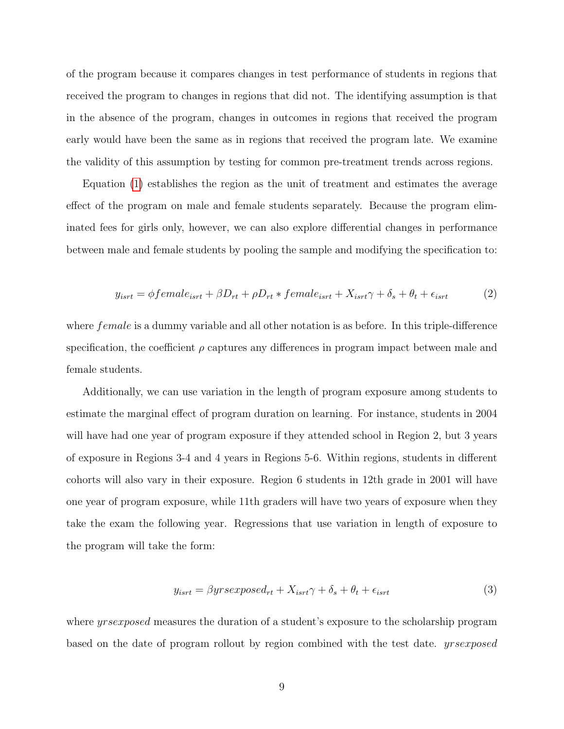of the program because it compares changes in test performance of students in regions that received the program to changes in regions that did not. The identifying assumption is that in the absence of the program, changes in outcomes in regions that received the program early would have been the same as in regions that received the program late. We examine the validity of this assumption by testing for common pre-treatment trends across regions.

Equation [\(1\)](#page-9-0) establishes the region as the unit of treatment and estimates the average effect of the program on male and female students separately. Because the program eliminated fees for girls only, however, we can also explore differential changes in performance between male and female students by pooling the sample and modifying the specification to:

<span id="page-10-0"></span>
$$
y_{\text{isrt}} = \phi \text{female}_{\text{isrt}} + \beta D_{rt} + \rho D_{rt} * \text{female}_{\text{isrt}} + X_{\text{isrt}}\gamma + \delta_s + \theta_t + \epsilon_{\text{isrt}} \tag{2}
$$

where *female* is a dummy variable and all other notation is as before. In this triple-difference specification, the coefficient  $\rho$  captures any differences in program impact between male and female students.

Additionally, we can use variation in the length of program exposure among students to estimate the marginal effect of program duration on learning. For instance, students in 2004 will have had one year of program exposure if they attended school in Region 2, but 3 years of exposure in Regions 3-4 and 4 years in Regions 5-6. Within regions, students in different cohorts will also vary in their exposure. Region 6 students in 12th grade in 2001 will have one year of program exposure, while 11th graders will have two years of exposure when they take the exam the following year. Regressions that use variation in length of exposure to the program will take the form:

<span id="page-10-1"></span>
$$
y_{\text{isrt}} = \beta y \text{r} \text{s} \text{c} \text{r} \text{p} \text{c} \text{d} \text{r} \text{d} \text{r} + X_{\text{isrt}} \gamma + \delta_s + \theta_t + \epsilon_{\text{isrt}} \tag{3}
$$

where *yrsexposed* measures the duration of a student's exposure to the scholarship program based on the date of program rollout by region combined with the test date. yrsexposed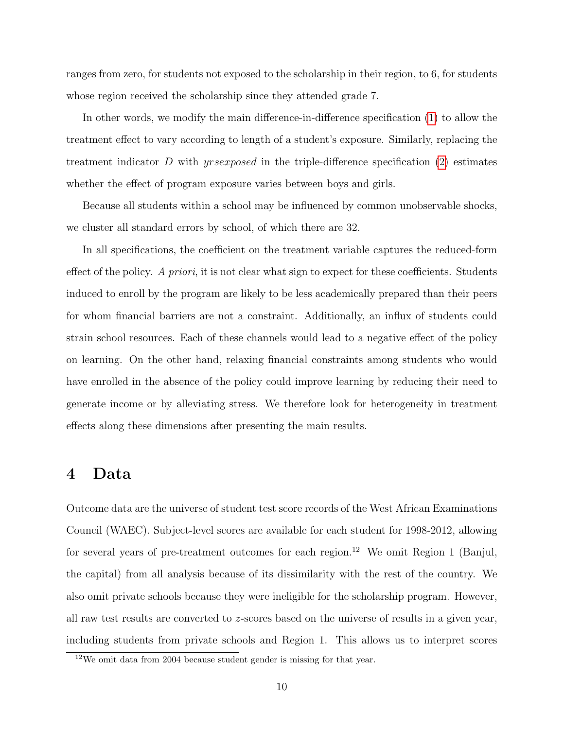ranges from zero, for students not exposed to the scholarship in their region, to 6, for students whose region received the scholarship since they attended grade 7.

In other words, we modify the main difference-in-difference specification [\(1\)](#page-9-0) to allow the treatment effect to vary according to length of a student's exposure. Similarly, replacing the treatment indicator D with yrsexposed in the triple-difference specification [\(2\)](#page-10-0) estimates whether the effect of program exposure varies between boys and girls.

Because all students within a school may be influenced by common unobservable shocks, we cluster all standard errors by school, of which there are 32.

In all specifications, the coefficient on the treatment variable captures the reduced-form effect of the policy. A priori, it is not clear what sign to expect for these coefficients. Students induced to enroll by the program are likely to be less academically prepared than their peers for whom financial barriers are not a constraint. Additionally, an influx of students could strain school resources. Each of these channels would lead to a negative effect of the policy on learning. On the other hand, relaxing financial constraints among students who would have enrolled in the absence of the policy could improve learning by reducing their need to generate income or by alleviating stress. We therefore look for heterogeneity in treatment effects along these dimensions after presenting the main results.

### 4 Data

Outcome data are the universe of student test score records of the West African Examinations Council (WAEC). Subject-level scores are available for each student for 1998-2012, allowing for several years of pre-treatment outcomes for each region.<sup>12</sup> We omit Region 1 (Banjul, the capital) from all analysis because of its dissimilarity with the rest of the country. We also omit private schools because they were ineligible for the scholarship program. However, all raw test results are converted to z-scores based on the universe of results in a given year, including students from private schools and Region 1. This allows us to interpret scores

<sup>12</sup>We omit data from 2004 because student gender is missing for that year.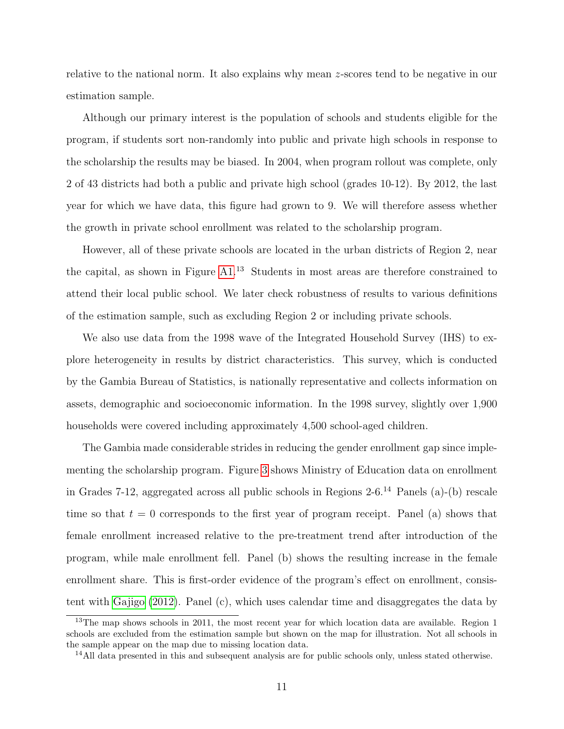relative to the national norm. It also explains why mean z-scores tend to be negative in our estimation sample.

Although our primary interest is the population of schools and students eligible for the program, if students sort non-randomly into public and private high schools in response to the scholarship the results may be biased. In 2004, when program rollout was complete, only 2 of 43 districts had both a public and private high school (grades 10-12). By 2012, the last year for which we have data, this figure had grown to 9. We will therefore assess whether the growth in private school enrollment was related to the scholarship program.

However, all of these private schools are located in the urban districts of Region 2, near the capital, as shown in Figure [A1.](#page-38-0)<sup>13</sup> Students in most areas are therefore constrained to attend their local public school. We later check robustness of results to various definitions of the estimation sample, such as excluding Region 2 or including private schools.

We also use data from the 1998 wave of the Integrated Household Survey (IHS) to explore heterogeneity in results by district characteristics. This survey, which is conducted by the Gambia Bureau of Statistics, is nationally representative and collects information on assets, demographic and socioeconomic information. In the 1998 survey, slightly over 1,900 households were covered including approximately 4,500 school-aged children.

The Gambia made considerable strides in reducing the gender enrollment gap since implementing the scholarship program. Figure [3](#page-37-0) shows Ministry of Education data on enrollment in Grades 7-12, aggregated across all public schools in Regions  $2\t{-}6<sup>14</sup>$  Panels (a)-(b) rescale time so that  $t = 0$  corresponds to the first year of program receipt. Panel (a) shows that female enrollment increased relative to the pre-treatment trend after introduction of the program, while male enrollment fell. Panel (b) shows the resulting increase in the female enrollment share. This is first-order evidence of the program's effect on enrollment, consistent with [Gajigo](#page-24-2) [\(2012\)](#page-24-2). Panel (c), which uses calendar time and disaggregates the data by

<sup>&</sup>lt;sup>13</sup>The map shows schools in 2011, the most recent year for which location data are available. Region 1 schools are excluded from the estimation sample but shown on the map for illustration. Not all schools in the sample appear on the map due to missing location data.

<sup>&</sup>lt;sup>14</sup>All data presented in this and subsequent analysis are for public schools only, unless stated otherwise.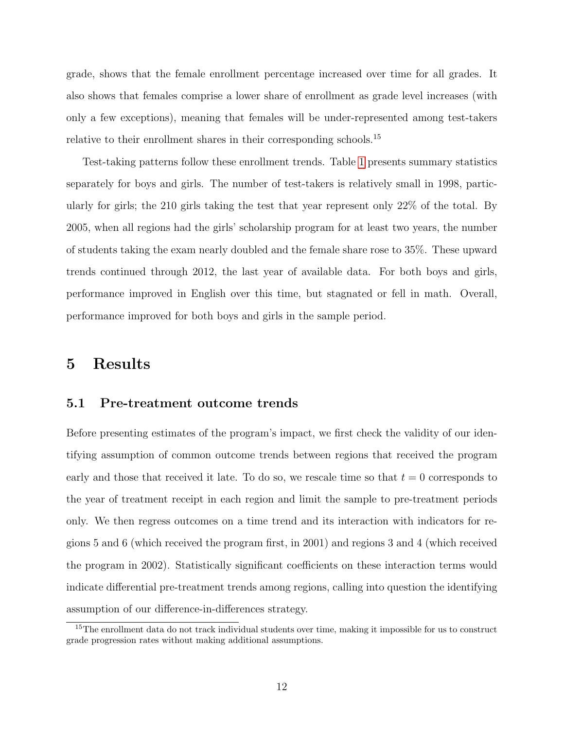grade, shows that the female enrollment percentage increased over time for all grades. It also shows that females comprise a lower share of enrollment as grade level increases (with only a few exceptions), meaning that females will be under-represented among test-takers relative to their enrollment shares in their corresponding schools.<sup>15</sup>

Test-taking patterns follow these enrollment trends. Table [1](#page-27-0) presents summary statistics separately for boys and girls. The number of test-takers is relatively small in 1998, particularly for girls; the 210 girls taking the test that year represent only 22% of the total. By 2005, when all regions had the girls' scholarship program for at least two years, the number of students taking the exam nearly doubled and the female share rose to 35%. These upward trends continued through 2012, the last year of available data. For both boys and girls, performance improved in English over this time, but stagnated or fell in math. Overall, performance improved for both boys and girls in the sample period.

### 5 Results

#### 5.1 Pre-treatment outcome trends

Before presenting estimates of the program's impact, we first check the validity of our identifying assumption of common outcome trends between regions that received the program early and those that received it late. To do so, we rescale time so that  $t = 0$  corresponds to the year of treatment receipt in each region and limit the sample to pre-treatment periods only. We then regress outcomes on a time trend and its interaction with indicators for regions 5 and 6 (which received the program first, in 2001) and regions 3 and 4 (which received the program in 2002). Statistically significant coefficients on these interaction terms would indicate differential pre-treatment trends among regions, calling into question the identifying assumption of our difference-in-differences strategy.

<sup>&</sup>lt;sup>15</sup>The enrollment data do not track individual students over time, making it impossible for us to construct grade progression rates without making additional assumptions.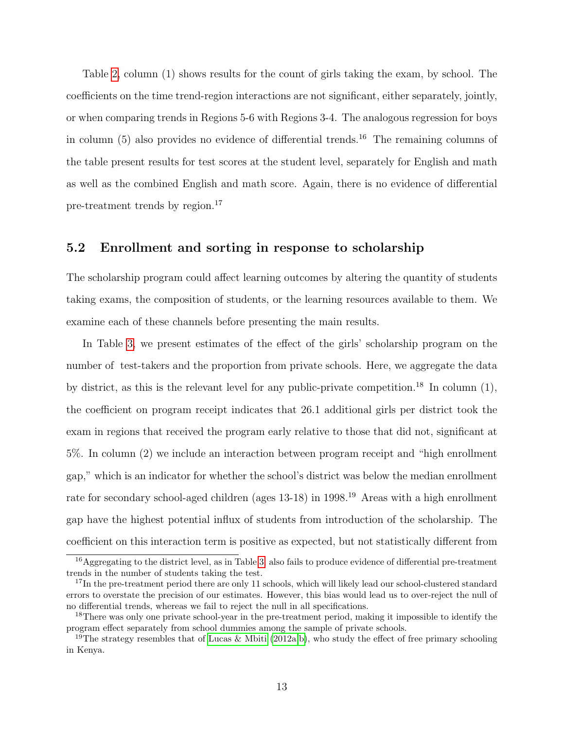Table [2,](#page-28-0) column (1) shows results for the count of girls taking the exam, by school. The coefficients on the time trend-region interactions are not significant, either separately, jointly, or when comparing trends in Regions 5-6 with Regions 3-4. The analogous regression for boys in column  $(5)$  also provides no evidence of differential trends.<sup>16</sup> The remaining columns of the table present results for test scores at the student level, separately for English and math as well as the combined English and math score. Again, there is no evidence of differential pre-treatment trends by region.<sup>17</sup>

#### 5.2 Enrollment and sorting in response to scholarship

The scholarship program could affect learning outcomes by altering the quantity of students taking exams, the composition of students, or the learning resources available to them. We examine each of these channels before presenting the main results.

In Table [3,](#page-29-0) we present estimates of the effect of the girls' scholarship program on the number of test-takers and the proportion from private schools. Here, we aggregate the data by district, as this is the relevant level for any public-private competition.<sup>18</sup> In column  $(1)$ , the coefficient on program receipt indicates that 26.1 additional girls per district took the exam in regions that received the program early relative to those that did not, significant at 5%. In column (2) we include an interaction between program receipt and "high enrollment gap," which is an indicator for whether the school's district was below the median enrollment rate for secondary school-aged children (ages 13-18) in 1998.<sup>19</sup> Areas with a high enrollment gap have the highest potential influx of students from introduction of the scholarship. The coefficient on this interaction term is positive as expected, but not statistically different from

<sup>16</sup>Aggregating to the district level, as in Table [3,](#page-29-0) also fails to produce evidence of differential pre-treatment trends in the number of students taking the test.

<sup>&</sup>lt;sup>17</sup>In the pre-treatment period there are only 11 schools, which will likely lead our school-clustered standard errors to overstate the precision of our estimates. However, this bias would lead us to over-reject the null of no differential trends, whereas we fail to reject the null in all specifications.

<sup>&</sup>lt;sup>18</sup>There was only one private school-year in the pre-treatment period, making it impossible to identify the program effect separately from school dummies among the sample of private schools.

<sup>&</sup>lt;sup>19</sup>The strategy resembles that of [Lucas & Mbiti](#page-25-4) [\(2012a,](#page-25-4)[b\)](#page-25-10), who study the effect of free primary schooling in Kenya.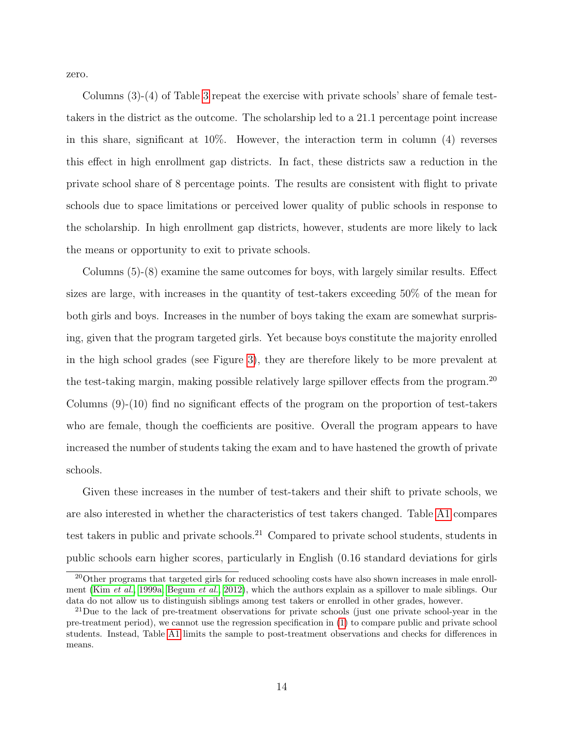zero.

Columns (3)-(4) of Table [3](#page-29-0) repeat the exercise with private schools' share of female testtakers in the district as the outcome. The scholarship led to a 21.1 percentage point increase in this share, significant at 10%. However, the interaction term in column (4) reverses this effect in high enrollment gap districts. In fact, these districts saw a reduction in the private school share of 8 percentage points. The results are consistent with flight to private schools due to space limitations or perceived lower quality of public schools in response to the scholarship. In high enrollment gap districts, however, students are more likely to lack the means or opportunity to exit to private schools.

Columns (5)-(8) examine the same outcomes for boys, with largely similar results. Effect sizes are large, with increases in the quantity of test-takers exceeding 50% of the mean for both girls and boys. Increases in the number of boys taking the exam are somewhat surprising, given that the program targeted girls. Yet because boys constitute the majority enrolled in the high school grades (see Figure [3\)](#page-37-0), they are therefore likely to be more prevalent at the test-taking margin, making possible relatively large spillover effects from the program.<sup>20</sup> Columns (9)-(10) find no significant effects of the program on the proportion of test-takers who are female, though the coefficients are positive. Overall the program appears to have increased the number of students taking the exam and to have hastened the growth of private schools.

Given these increases in the number of test-takers and their shift to private schools, we are also interested in whether the characteristics of test takers changed. Table [A1](#page-33-0) compares test takers in public and private schools.<sup>21</sup> Compared to private school students, students in public schools earn higher scores, particularly in English (0.16 standard deviations for girls

<sup>&</sup>lt;sup>20</sup>Other programs that targeted girls for reduced schooling costs have also shown increases in male enrollment (Kim [et al.](#page-25-6), [1999a;](#page-25-6) [Begum](#page-24-9) et al., [2012\)](#page-24-9), which the authors explain as a spillover to male siblings. Our data do not allow us to distinguish siblings among test takers or enrolled in other grades, however.

 $^{21}$ Due to the lack of pre-treatment observations for private schools (just one private school-year in the pre-treatment period), we cannot use the regression specification in [\(1\)](#page-9-0) to compare public and private school students. Instead, Table [A1](#page-33-0) limits the sample to post-treatment observations and checks for differences in means.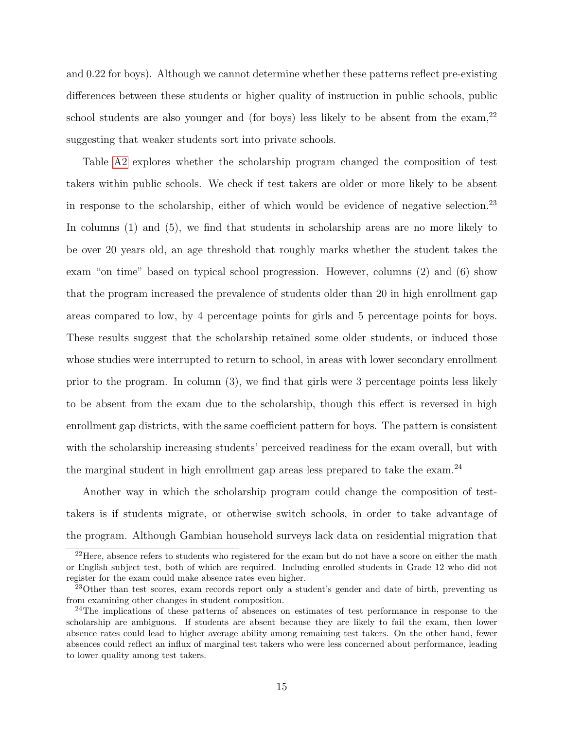and 0.22 for boys). Although we cannot determine whether these patterns reflect pre-existing differences between these students or higher quality of instruction in public schools, public school students are also younger and (for boys) less likely to be absent from the exam,  $2^2$ suggesting that weaker students sort into private schools.

Table [A2](#page-34-0) explores whether the scholarship program changed the composition of test takers within public schools. We check if test takers are older or more likely to be absent in response to the scholarship, either of which would be evidence of negative selection.<sup>23</sup> In columns (1) and (5), we find that students in scholarship areas are no more likely to be over 20 years old, an age threshold that roughly marks whether the student takes the exam "on time" based on typical school progression. However, columns (2) and (6) show that the program increased the prevalence of students older than 20 in high enrollment gap areas compared to low, by 4 percentage points for girls and 5 percentage points for boys. These results suggest that the scholarship retained some older students, or induced those whose studies were interrupted to return to school, in areas with lower secondary enrollment prior to the program. In column (3), we find that girls were 3 percentage points less likely to be absent from the exam due to the scholarship, though this effect is reversed in high enrollment gap districts, with the same coefficient pattern for boys. The pattern is consistent with the scholarship increasing students' perceived readiness for the exam overall, but with the marginal student in high enrollment gap areas less prepared to take the exam.<sup>24</sup>

Another way in which the scholarship program could change the composition of testtakers is if students migrate, or otherwise switch schools, in order to take advantage of the program. Although Gambian household surveys lack data on residential migration that

<sup>&</sup>lt;sup>22</sup>Here, absence refers to students who registered for the exam but do not have a score on either the math or English subject test, both of which are required. Including enrolled students in Grade 12 who did not register for the exam could make absence rates even higher.

<sup>&</sup>lt;sup>23</sup>Other than test scores, exam records report only a student's gender and date of birth, preventing us from examining other changes in student composition.

<sup>&</sup>lt;sup>24</sup>The implications of these patterns of absences on estimates of test performance in response to the scholarship are ambiguous. If students are absent because they are likely to fail the exam, then lower absence rates could lead to higher average ability among remaining test takers. On the other hand, fewer absences could reflect an influx of marginal test takers who were less concerned about performance, leading to lower quality among test takers.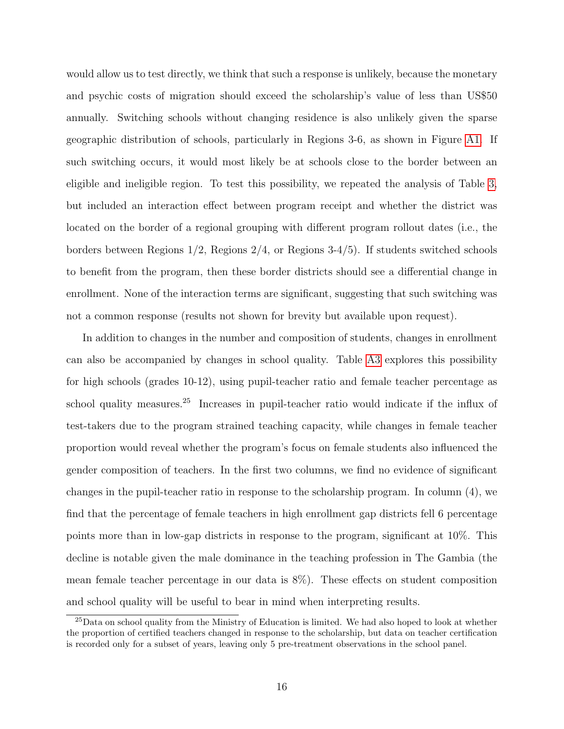would allow us to test directly, we think that such a response is unlikely, because the monetary and psychic costs of migration should exceed the scholarship's value of less than US\$50 annually. Switching schools without changing residence is also unlikely given the sparse geographic distribution of schools, particularly in Regions 3-6, as shown in Figure [A1.](#page-38-0) If such switching occurs, it would most likely be at schools close to the border between an eligible and ineligible region. To test this possibility, we repeated the analysis of Table [3,](#page-29-0) but included an interaction effect between program receipt and whether the district was located on the border of a regional grouping with different program rollout dates (i.e., the borders between Regions 1/2, Regions 2/4, or Regions 3-4/5). If students switched schools to benefit from the program, then these border districts should see a differential change in enrollment. None of the interaction terms are significant, suggesting that such switching was not a common response (results not shown for brevity but available upon request).

In addition to changes in the number and composition of students, changes in enrollment can also be accompanied by changes in school quality. Table [A3](#page-35-0) explores this possibility for high schools (grades 10-12), using pupil-teacher ratio and female teacher percentage as school quality measures.<sup>25</sup> Increases in pupil-teacher ratio would indicate if the influx of test-takers due to the program strained teaching capacity, while changes in female teacher proportion would reveal whether the program's focus on female students also influenced the gender composition of teachers. In the first two columns, we find no evidence of significant changes in the pupil-teacher ratio in response to the scholarship program. In column (4), we find that the percentage of female teachers in high enrollment gap districts fell 6 percentage points more than in low-gap districts in response to the program, significant at 10%. This decline is notable given the male dominance in the teaching profession in The Gambia (the mean female teacher percentage in our data is 8%). These effects on student composition and school quality will be useful to bear in mind when interpreting results.

<sup>25</sup>Data on school quality from the Ministry of Education is limited. We had also hoped to look at whether the proportion of certified teachers changed in response to the scholarship, but data on teacher certification is recorded only for a subset of years, leaving only 5 pre-treatment observations in the school panel.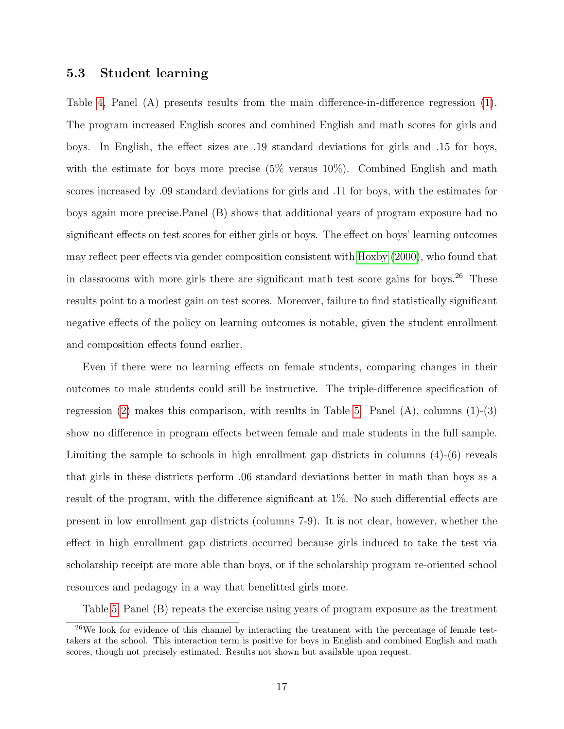#### 5.3 Student learning

Table [4,](#page-30-0) Panel (A) presents results from the main difference-in-difference regression [\(1\)](#page-9-0). The program increased English scores and combined English and math scores for girls and boys. In English, the effect sizes are .19 standard deviations for girls and .15 for boys, with the estimate for boys more precise  $(5\%$  versus  $10\%)$ . Combined English and math scores increased by .09 standard deviations for girls and .11 for boys, with the estimates for boys again more precise.Panel (B) shows that additional years of program exposure had no significant effects on test scores for either girls or boys. The effect on boys' learning outcomes may reflect peer effects via gender composition consistent with [Hoxby](#page-25-11) [\(2000\)](#page-25-11), who found that in classrooms with more girls there are significant math test score gains for boys.<sup>26</sup> These results point to a modest gain on test scores. Moreover, failure to find statistically significant negative effects of the policy on learning outcomes is notable, given the student enrollment and composition effects found earlier.

Even if there were no learning effects on female students, comparing changes in their outcomes to male students could still be instructive. The triple-difference specification of regression  $(2)$  makes this comparison, with results in Table [5.](#page-31-0) Panel  $(A)$ , columns  $(1)-(3)$ show no difference in program effects between female and male students in the full sample. Limiting the sample to schools in high enrollment gap districts in columns (4)-(6) reveals that girls in these districts perform .06 standard deviations better in math than boys as a result of the program, with the difference significant at 1%. No such differential effects are present in low enrollment gap districts (columns 7-9). It is not clear, however, whether the effect in high enrollment gap districts occurred because girls induced to take the test via scholarship receipt are more able than boys, or if the scholarship program re-oriented school resources and pedagogy in a way that benefitted girls more.

Table [5,](#page-31-0) Panel (B) repeats the exercise using years of program exposure as the treatment

<sup>&</sup>lt;sup>26</sup>We look for evidence of this channel by interacting the treatment with the percentage of female testtakers at the school. This interaction term is positive for boys in English and combined English and math scores, though not precisely estimated. Results not shown but available upon request.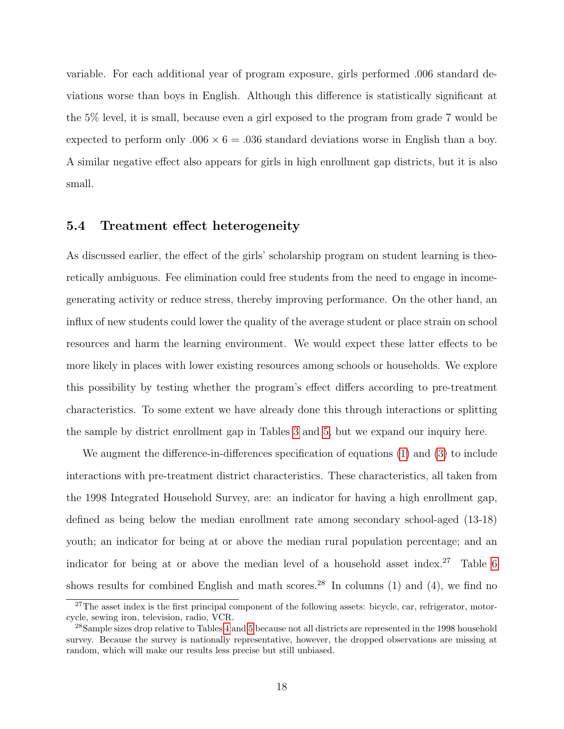variable. For each additional year of program exposure, girls performed .006 standard deviations worse than boys in English. Although this difference is statistically significant at the 5% level, it is small, because even a girl exposed to the program from grade 7 would be expected to perform only  $.006 \times 6 = .036$  standard deviations worse in English than a boy. A similar negative effect also appears for girls in high enrollment gap districts, but it is also small.

#### 5.4 Treatment effect heterogeneity

As discussed earlier, the effect of the girls' scholarship program on student learning is theoretically ambiguous. Fee elimination could free students from the need to engage in incomegenerating activity or reduce stress, thereby improving performance. On the other hand, an influx of new students could lower the quality of the average student or place strain on school resources and harm the learning environment. We would expect these latter effects to be more likely in places with lower existing resources among schools or households. We explore this possibility by testing whether the program's effect differs according to pre-treatment characteristics. To some extent we have already done this through interactions or splitting the sample by district enrollment gap in Tables [3](#page-29-0) and [5,](#page-31-0) but we expand our inquiry here.

We augment the difference-in-differences specification of equations [\(1\)](#page-9-0) and [\(3\)](#page-10-1) to include interactions with pre-treatment district characteristics. These characteristics, all taken from the 1998 Integrated Household Survey, are: an indicator for having a high enrollment gap, defined as being below the median enrollment rate among secondary school-aged (13-18) youth; an indicator for being at or above the median rural population percentage; and an indicator for being at or above the median level of a household asset index.<sup>27</sup> Table [6](#page-32-0) shows results for combined English and math scores.<sup>28</sup> In columns (1) and (4), we find no

<sup>&</sup>lt;sup>27</sup>The asset index is the first principal component of the following assets: bicycle, car, refrigerator, motorcycle, sewing iron, television, radio, VCR.

<sup>&</sup>lt;sup>28</sup>Sample sizes drop relative to Tables [4](#page-30-0) and [5](#page-31-0) because not all districts are represented in the 1998 household survey. Because the survey is nationally representative, however, the dropped observations are missing at random, which will make our results less precise but still unbiased.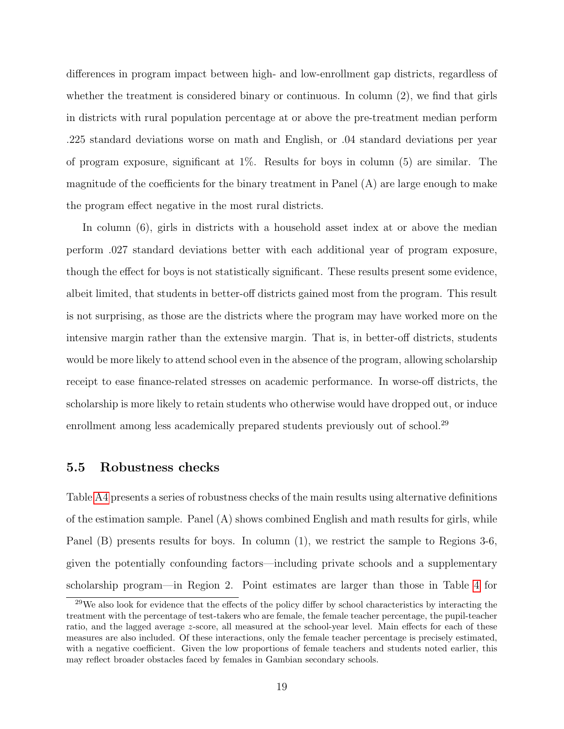differences in program impact between high- and low-enrollment gap districts, regardless of whether the treatment is considered binary or continuous. In column  $(2)$ , we find that girls in districts with rural population percentage at or above the pre-treatment median perform .225 standard deviations worse on math and English, or .04 standard deviations per year of program exposure, significant at 1%. Results for boys in column (5) are similar. The magnitude of the coefficients for the binary treatment in Panel (A) are large enough to make the program effect negative in the most rural districts.

In column (6), girls in districts with a household asset index at or above the median perform .027 standard deviations better with each additional year of program exposure, though the effect for boys is not statistically significant. These results present some evidence, albeit limited, that students in better-off districts gained most from the program. This result is not surprising, as those are the districts where the program may have worked more on the intensive margin rather than the extensive margin. That is, in better-off districts, students would be more likely to attend school even in the absence of the program, allowing scholarship receipt to ease finance-related stresses on academic performance. In worse-off districts, the scholarship is more likely to retain students who otherwise would have dropped out, or induce enrollment among less academically prepared students previously out of school.<sup>29</sup>

#### 5.5 Robustness checks

Table [A4](#page-35-1) presents a series of robustness checks of the main results using alternative definitions of the estimation sample. Panel (A) shows combined English and math results for girls, while Panel (B) presents results for boys. In column (1), we restrict the sample to Regions 3-6, given the potentially confounding factors—including private schools and a supplementary scholarship program—in Region 2. Point estimates are larger than those in Table [4](#page-30-0) for

<sup>&</sup>lt;sup>29</sup>We also look for evidence that the effects of the policy differ by school characteristics by interacting the treatment with the percentage of test-takers who are female, the female teacher percentage, the pupil-teacher ratio, and the lagged average z-score, all measured at the school-year level. Main effects for each of these measures are also included. Of these interactions, only the female teacher percentage is precisely estimated, with a negative coefficient. Given the low proportions of female teachers and students noted earlier, this may reflect broader obstacles faced by females in Gambian secondary schools.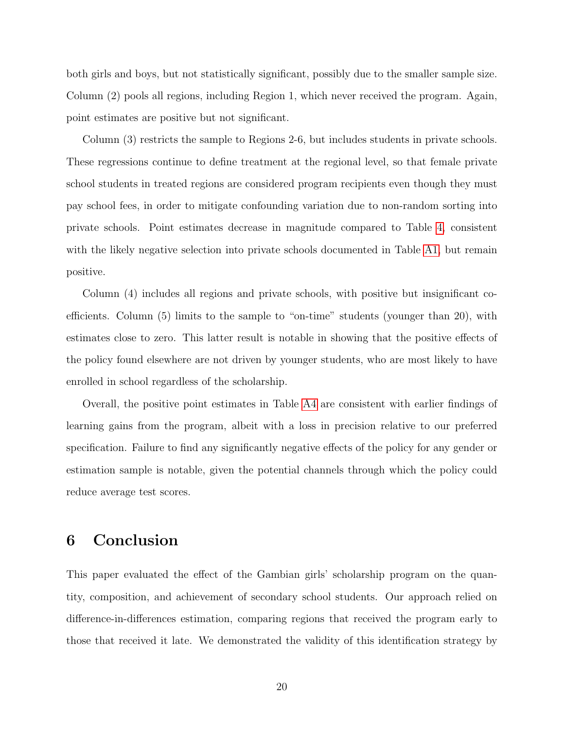both girls and boys, but not statistically significant, possibly due to the smaller sample size. Column (2) pools all regions, including Region 1, which never received the program. Again, point estimates are positive but not significant.

Column (3) restricts the sample to Regions 2-6, but includes students in private schools. These regressions continue to define treatment at the regional level, so that female private school students in treated regions are considered program recipients even though they must pay school fees, in order to mitigate confounding variation due to non-random sorting into private schools. Point estimates decrease in magnitude compared to Table [4,](#page-30-0) consistent with the likely negative selection into private schools documented in Table [A1,](#page-33-0) but remain positive.

Column (4) includes all regions and private schools, with positive but insignificant coefficients. Column (5) limits to the sample to "on-time" students (younger than 20), with estimates close to zero. This latter result is notable in showing that the positive effects of the policy found elsewhere are not driven by younger students, who are most likely to have enrolled in school regardless of the scholarship.

Overall, the positive point estimates in Table [A4](#page-35-1) are consistent with earlier findings of learning gains from the program, albeit with a loss in precision relative to our preferred specification. Failure to find any significantly negative effects of the policy for any gender or estimation sample is notable, given the potential channels through which the policy could reduce average test scores.

## 6 Conclusion

This paper evaluated the effect of the Gambian girls' scholarship program on the quantity, composition, and achievement of secondary school students. Our approach relied on difference-in-differences estimation, comparing regions that received the program early to those that received it late. We demonstrated the validity of this identification strategy by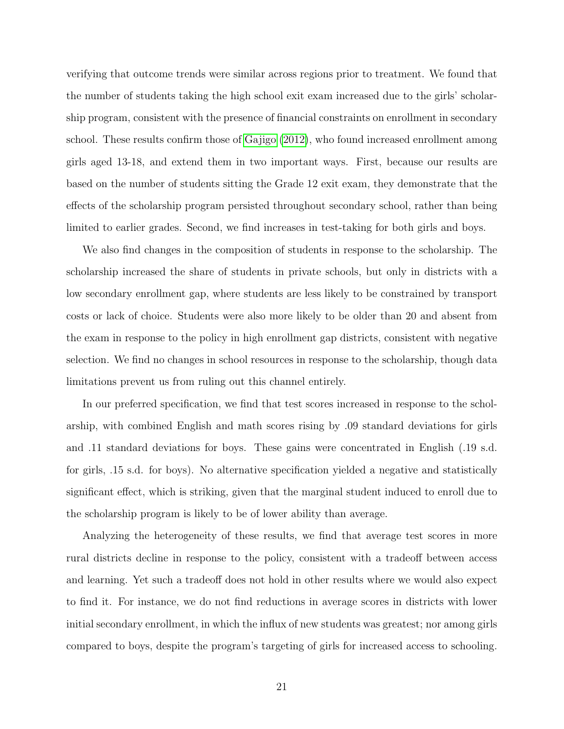verifying that outcome trends were similar across regions prior to treatment. We found that the number of students taking the high school exit exam increased due to the girls' scholarship program, consistent with the presence of financial constraints on enrollment in secondary school. These results confirm those of [Gajigo](#page-24-2) [\(2012\)](#page-24-2), who found increased enrollment among girls aged 13-18, and extend them in two important ways. First, because our results are based on the number of students sitting the Grade 12 exit exam, they demonstrate that the effects of the scholarship program persisted throughout secondary school, rather than being limited to earlier grades. Second, we find increases in test-taking for both girls and boys.

We also find changes in the composition of students in response to the scholarship. The scholarship increased the share of students in private schools, but only in districts with a low secondary enrollment gap, where students are less likely to be constrained by transport costs or lack of choice. Students were also more likely to be older than 20 and absent from the exam in response to the policy in high enrollment gap districts, consistent with negative selection. We find no changes in school resources in response to the scholarship, though data limitations prevent us from ruling out this channel entirely.

In our preferred specification, we find that test scores increased in response to the scholarship, with combined English and math scores rising by .09 standard deviations for girls and .11 standard deviations for boys. These gains were concentrated in English (.19 s.d. for girls, .15 s.d. for boys). No alternative specification yielded a negative and statistically significant effect, which is striking, given that the marginal student induced to enroll due to the scholarship program is likely to be of lower ability than average.

Analyzing the heterogeneity of these results, we find that average test scores in more rural districts decline in response to the policy, consistent with a tradeoff between access and learning. Yet such a tradeoff does not hold in other results where we would also expect to find it. For instance, we do not find reductions in average scores in districts with lower initial secondary enrollment, in which the influx of new students was greatest; nor among girls compared to boys, despite the program's targeting of girls for increased access to schooling.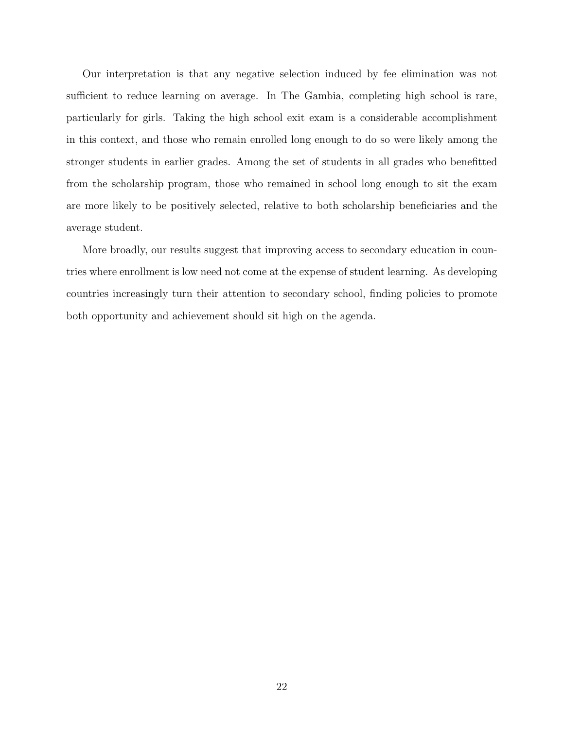Our interpretation is that any negative selection induced by fee elimination was not sufficient to reduce learning on average. In The Gambia, completing high school is rare, particularly for girls. Taking the high school exit exam is a considerable accomplishment in this context, and those who remain enrolled long enough to do so were likely among the stronger students in earlier grades. Among the set of students in all grades who benefitted from the scholarship program, those who remained in school long enough to sit the exam are more likely to be positively selected, relative to both scholarship beneficiaries and the average student.

More broadly, our results suggest that improving access to secondary education in countries where enrollment is low need not come at the expense of student learning. As developing countries increasingly turn their attention to secondary school, finding policies to promote both opportunity and achievement should sit high on the agenda.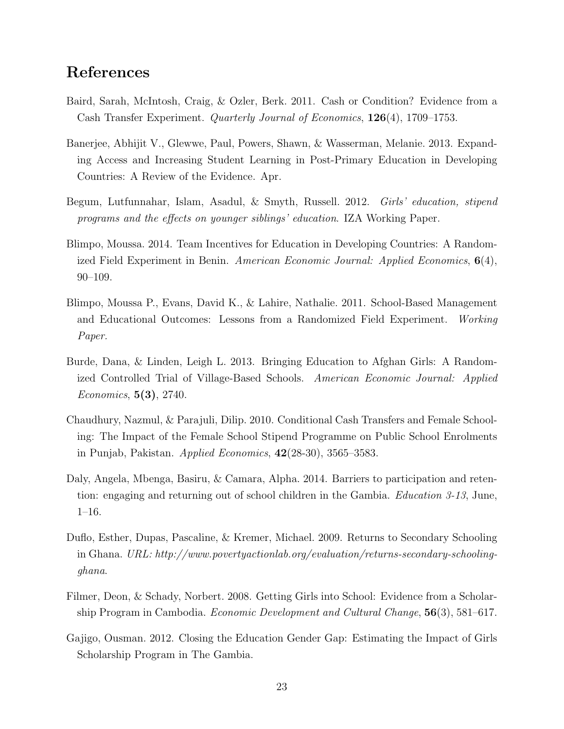## References

- <span id="page-24-8"></span>Baird, Sarah, McIntosh, Craig, & Ozler, Berk. 2011. Cash or Condition? Evidence from a Cash Transfer Experiment. Quarterly Journal of Economics, 126(4), 1709–1753.
- <span id="page-24-5"></span>Banerjee, Abhijit V., Glewwe, Paul, Powers, Shawn, & Wasserman, Melanie. 2013. Expanding Access and Increasing Student Learning in Post-Primary Education in Developing Countries: A Review of the Evidence. Apr.
- <span id="page-24-9"></span>Begum, Lutfunnahar, Islam, Asadul, & Smyth, Russell. 2012. Girls' education, stipend programs and the effects on younger siblings' education. IZA Working Paper.
- <span id="page-24-0"></span>Blimpo, Moussa. 2014. Team Incentives for Education in Developing Countries: A Randomized Field Experiment in Benin. American Economic Journal: Applied Economics,  $6(4)$ , 90–109.
- <span id="page-24-1"></span>Blimpo, Moussa P., Evans, David K., & Lahire, Nathalie. 2011. School-Based Management and Educational Outcomes: Lessons from a Randomized Field Experiment. Working Paper.
- <span id="page-24-3"></span>Burde, Dana, & Linden, Leigh L. 2013. Bringing Education to Afghan Girls: A Randomized Controlled Trial of Village-Based Schools. American Economic Journal: Applied Economics, 5(3), 2740.
- <span id="page-24-6"></span>Chaudhury, Nazmul, & Parajuli, Dilip. 2010. Conditional Cash Transfers and Female Schooling: The Impact of the Female School Stipend Programme on Public School Enrolments in Punjab, Pakistan. Applied Economics, 42(28-30), 3565–3583.
- <span id="page-24-10"></span>Daly, Angela, Mbenga, Basiru, & Camara, Alpha. 2014. Barriers to participation and retention: engaging and returning out of school children in the Gambia. Education 3-13, June, 1–16.
- <span id="page-24-4"></span>Duflo, Esther, Dupas, Pascaline, & Kremer, Michael. 2009. Returns to Secondary Schooling in Ghana. URL: http://www.povertyactionlab.org/evaluation/returns-secondary-schoolingghana.
- <span id="page-24-7"></span>Filmer, Deon, & Schady, Norbert. 2008. Getting Girls into School: Evidence from a Scholarship Program in Cambodia. Economic Development and Cultural Change, 56(3), 581–617.
- <span id="page-24-2"></span>Gajigo, Ousman. 2012. Closing the Education Gender Gap: Estimating the Impact of Girls Scholarship Program in The Gambia.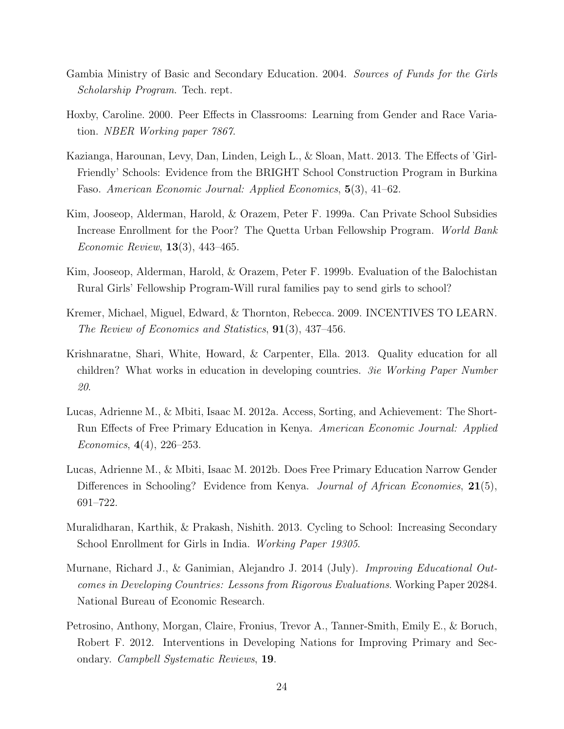- <span id="page-25-9"></span>Gambia Ministry of Basic and Secondary Education. 2004. Sources of Funds for the Girls Scholarship Program. Tech. rept.
- <span id="page-25-11"></span>Hoxby, Caroline. 2000. Peer Effects in Classrooms: Learning from Gender and Race Variation. NBER Working paper 7867.
- <span id="page-25-3"></span>Kazianga, Harounan, Levy, Dan, Linden, Leigh L., & Sloan, Matt. 2013. The Effects of 'Girl-Friendly' Schools: Evidence from the BRIGHT School Construction Program in Burkina Faso. American Economic Journal: Applied Economics, 5(3), 41–62.
- <span id="page-25-6"></span>Kim, Jooseop, Alderman, Harold, & Orazem, Peter F. 1999a. Can Private School Subsidies Increase Enrollment for the Poor? The Quetta Urban Fellowship Program. World Bank Economic Review, 13(3), 443–465.
- <span id="page-25-7"></span>Kim, Jooseop, Alderman, Harold, & Orazem, Peter F. 1999b. Evaluation of the Balochistan Rural Girls' Fellowship Program-Will rural families pay to send girls to school?
- <span id="page-25-8"></span>Kremer, Michael, Miguel, Edward, & Thornton, Rebecca. 2009. INCENTIVES TO LEARN. The Review of Economics and Statistics, 91(3), 437–456.
- <span id="page-25-1"></span>Krishnaratne, Shari, White, Howard, & Carpenter, Ella. 2013. Quality education for all children? What works in education in developing countries. 3ie Working Paper Number 20.
- <span id="page-25-4"></span>Lucas, Adrienne M., & Mbiti, Isaac M. 2012a. Access, Sorting, and Achievement: The Short-Run Effects of Free Primary Education in Kenya. American Economic Journal: Applied Economics, 4(4), 226–253.
- <span id="page-25-10"></span>Lucas, Adrienne M., & Mbiti, Isaac M. 2012b. Does Free Primary Education Narrow Gender Differences in Schooling? Evidence from Kenya. *Journal of African Economies*, 21(5), 691–722.
- <span id="page-25-5"></span>Muralidharan, Karthik, & Prakash, Nishith. 2013. Cycling to School: Increasing Secondary School Enrollment for Girls in India. Working Paper 19305.
- <span id="page-25-2"></span>Murnane, Richard J., & Ganimian, Alejandro J. 2014 (July). Improving Educational Outcomes in Developing Countries: Lessons from Rigorous Evaluations. Working Paper 20284. National Bureau of Economic Research.
- <span id="page-25-0"></span>Petrosino, Anthony, Morgan, Claire, Fronius, Trevor A., Tanner-Smith, Emily E., & Boruch, Robert F. 2012. Interventions in Developing Nations for Improving Primary and Secondary. Campbell Systematic Reviews, 19.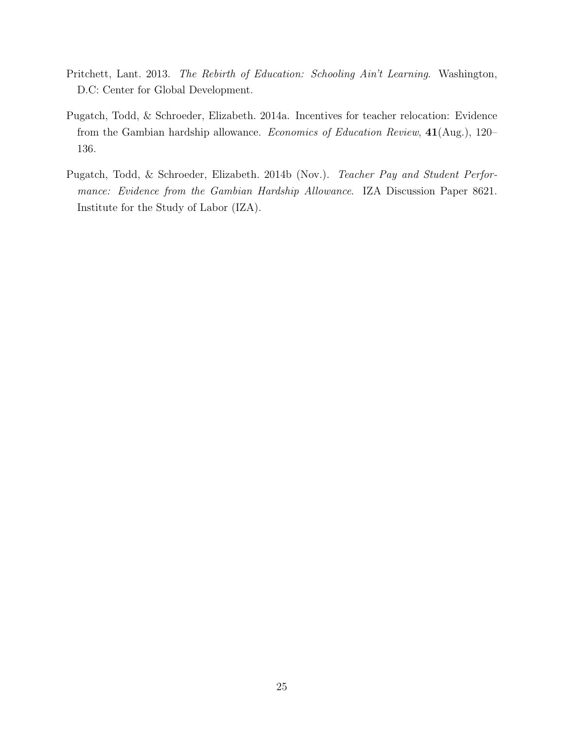- <span id="page-26-2"></span>Pritchett, Lant. 2013. The Rebirth of Education: Schooling Ain't Learning. Washington, D.C: Center for Global Development.
- <span id="page-26-0"></span>Pugatch, Todd, & Schroeder, Elizabeth. 2014a. Incentives for teacher relocation: Evidence from the Gambian hardship allowance. Economics of Education Review, 41(Aug.), 120– 136.
- <span id="page-26-1"></span>Pugatch, Todd, & Schroeder, Elizabeth. 2014b (Nov.). Teacher Pay and Student Performance: Evidence from the Gambian Hardship Allowance. IZA Discussion Paper 8621. Institute for the Study of Labor (IZA).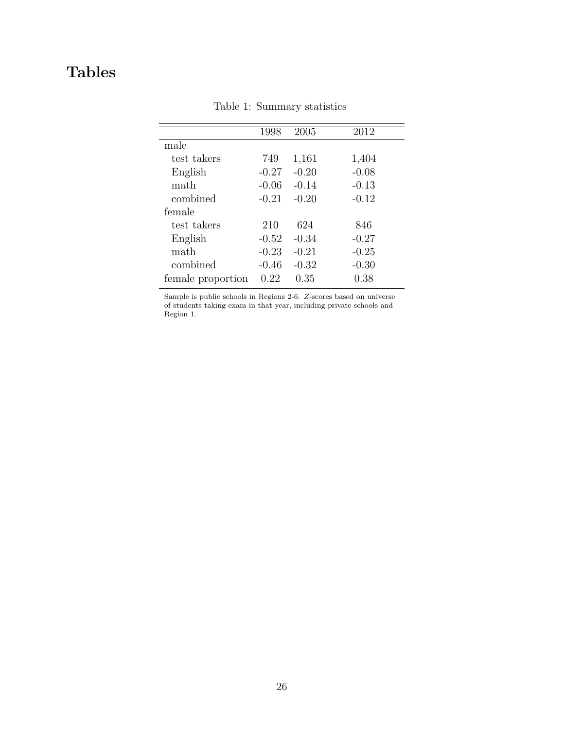# <span id="page-27-0"></span>Tables

|                   | 1998    | 2005    | 2012    |
|-------------------|---------|---------|---------|
| male              |         |         |         |
| test takers       | 749     | 1,161   | 1,404   |
| English           | $-0.27$ | $-0.20$ | $-0.08$ |
| math              | $-0.06$ | $-0.14$ | $-0.13$ |
| combined          | $-0.21$ | $-0.20$ | $-0.12$ |
| female            |         |         |         |
| test takers       | 210     | 624     | 846     |
| English           | $-0.52$ | $-0.34$ | $-0.27$ |
| math              | $-0.23$ | $-0.21$ | $-0.25$ |
| combined          | $-0.46$ | $-0.32$ | $-0.30$ |
| female proportion | 0.22    | 0.35    | 0.38    |
|                   |         |         |         |

Table 1: Summary statistics

Sample is public schools in Regions 2-6. Z-scores based on universe of students taking exam in that year, including private schools and Region 1.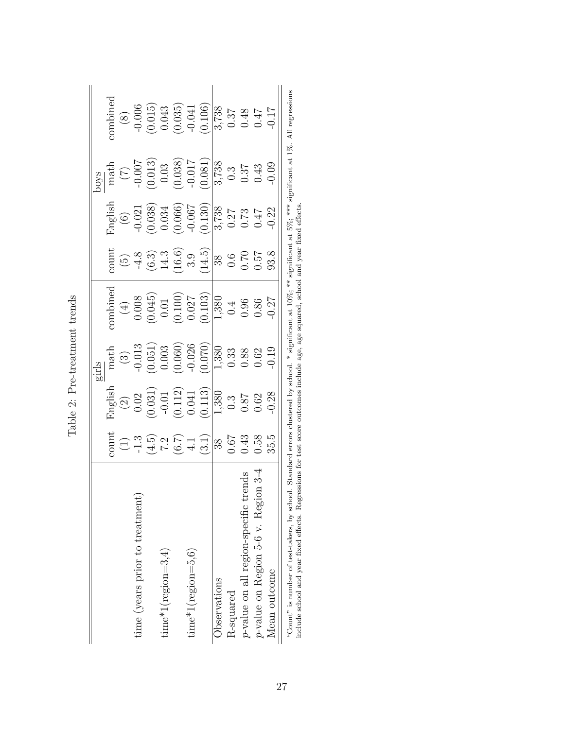|                                                                                                                                                                                   |                                                                                                          |                                                                                                                                 | sirls                                                                                                                       |           |                                                                                                                                                                                |                                                                                                                                                                                                                  | sóoc                                                                                                                              |                                                                                                                                              |
|-----------------------------------------------------------------------------------------------------------------------------------------------------------------------------------|----------------------------------------------------------------------------------------------------------|---------------------------------------------------------------------------------------------------------------------------------|-----------------------------------------------------------------------------------------------------------------------------|-----------|--------------------------------------------------------------------------------------------------------------------------------------------------------------------------------|------------------------------------------------------------------------------------------------------------------------------------------------------------------------------------------------------------------|-----------------------------------------------------------------------------------------------------------------------------------|----------------------------------------------------------------------------------------------------------------------------------------------|
|                                                                                                                                                                                   | $\mbox{count}$                                                                                           |                                                                                                                                 | $\operatorname{match}$                                                                                                      | combined  | $\mathop{\rm count}\nolimits$                                                                                                                                                  | English                                                                                                                                                                                                          |                                                                                                                                   | combined                                                                                                                                     |
|                                                                                                                                                                                   |                                                                                                          | English<br>$\frac{(2)}{2}$                                                                                                      | $\tag{3}$                                                                                                                   | $\tag{4}$ |                                                                                                                                                                                | $\begin{pmatrix} 6 \end{pmatrix}$                                                                                                                                                                                | $\begin{array}{c} \text{math} \\ \text{(7)} \end{array}$                                                                          | $\begin{pmatrix} 8 \end{pmatrix}$                                                                                                            |
| time (years prior to treatment)                                                                                                                                                   |                                                                                                          |                                                                                                                                 |                                                                                                                             |           |                                                                                                                                                                                |                                                                                                                                                                                                                  |                                                                                                                                   | $-0.006$                                                                                                                                     |
|                                                                                                                                                                                   |                                                                                                          |                                                                                                                                 |                                                                                                                             |           |                                                                                                                                                                                |                                                                                                                                                                                                                  |                                                                                                                                   |                                                                                                                                              |
| $time*1(region=3,4)$                                                                                                                                                              |                                                                                                          |                                                                                                                                 |                                                                                                                             |           |                                                                                                                                                                                |                                                                                                                                                                                                                  |                                                                                                                                   |                                                                                                                                              |
|                                                                                                                                                                                   |                                                                                                          |                                                                                                                                 |                                                                                                                             |           |                                                                                                                                                                                |                                                                                                                                                                                                                  |                                                                                                                                   |                                                                                                                                              |
| $time*1(region=5,6)$                                                                                                                                                              |                                                                                                          |                                                                                                                                 |                                                                                                                             |           |                                                                                                                                                                                |                                                                                                                                                                                                                  |                                                                                                                                   |                                                                                                                                              |
|                                                                                                                                                                                   | $\begin{array}{c c} c & c & d & d \\ \hline c & d & d & d \\ \hline c & d & d & d \\ \hline \end{array}$ | $\begin{array}{r l} 0.02 \\ (0.031) \\ -0.01 \\ (0.112) \\ (0.113) \\ (0.113) \\ (0.113) \\ 0.3 \\ 0.87 \\ 0.62 \\ \end{array}$ | $\begin{array}{r l} -0.013 \\ -0.051) \\ 0.003 \\ 0.0060 \\ 0.026 \\ -0.026 \\ 0.33 \\ 0.33 \\ 0.88 \\ 0.62 \\ \end{array}$ |           | $\frac{(5)}{(4.3)}$<br>$\frac{(3.3)}{(4.3)}$<br>$\frac{(14.5)}{(4.4)}$<br>$\frac{(14.5)}{(4.5)}$<br>$\frac{(14.5)}{(4.5)}$<br>$\frac{(14.5)}{(4.5)}$<br>$\frac{(14.5)}{(4.5)}$ | $\begin{array}{r rrrr} \hline 1.021 & 0.021 & 0.038 \\ (0.038) & 0.034 & 0.066 \\ (0.066) & 0.067 & 0.077 & 0.047 \\ (0.130) & 0.27 & 0.47 & 0.47 \\ 0.130 & 0.04 & 0.047 & 0.047 & 0.047 \\ \hline \end{array}$ | $\begin{array}{r l} -0.007 \\ -0.013) \\ 0.03 \\ 0.038) \\ -0.017 \\ 0.081) \\ 0.038 \\ -0.017 \\ 0.3 \\ 0.3 \\ 0.43 \end{array}$ | $\begin{array}{c} (0.015) \\ 0.043 \\ (0.035) \\ (0.106) \\ (0.106) \\ \hline 3,738 \\ 0.37 \\ 0.44 \\ 0.17 \\ \end{array}$                  |
| Observations                                                                                                                                                                      |                                                                                                          |                                                                                                                                 |                                                                                                                             |           |                                                                                                                                                                                |                                                                                                                                                                                                                  |                                                                                                                                   |                                                                                                                                              |
| R-squared                                                                                                                                                                         |                                                                                                          |                                                                                                                                 |                                                                                                                             |           |                                                                                                                                                                                |                                                                                                                                                                                                                  |                                                                                                                                   |                                                                                                                                              |
| p-value on all region-specific trends                                                                                                                                             |                                                                                                          |                                                                                                                                 |                                                                                                                             |           |                                                                                                                                                                                |                                                                                                                                                                                                                  |                                                                                                                                   |                                                                                                                                              |
| $p$ -value on Region 5-6 v. Region 3-4                                                                                                                                            | 0.58                                                                                                     |                                                                                                                                 |                                                                                                                             |           |                                                                                                                                                                                |                                                                                                                                                                                                                  |                                                                                                                                   |                                                                                                                                              |
| Mean outcome                                                                                                                                                                      | 35.5                                                                                                     | 0.28                                                                                                                            | $0.19\,$                                                                                                                    |           |                                                                                                                                                                                |                                                                                                                                                                                                                  | 0.09                                                                                                                              |                                                                                                                                              |
| include school and year fixed effects. Regressions for test score outcomes include age, age squared, school and year fixed effects<br>"Count" is number of test-takers, by school |                                                                                                          |                                                                                                                                 |                                                                                                                             |           |                                                                                                                                                                                |                                                                                                                                                                                                                  |                                                                                                                                   | 1. Standard errors clustered by school. $*$ significant at $10\%$ , $**$ significant at $5\%$ , $***$ significant at $1\%$ . All regressions |

<span id="page-28-0"></span>Table 2: Pre-treatment trends Table 2: Pre-treatment trends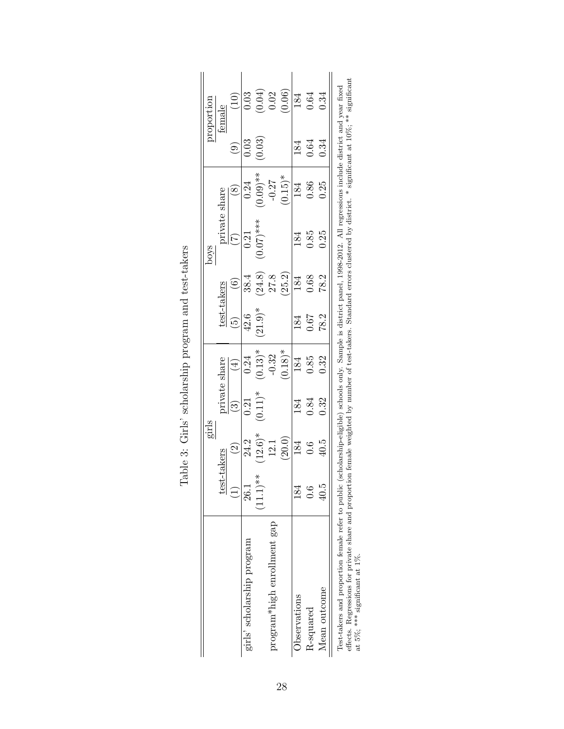|                             |                                   | girls                    |            |                              |                       |                   | s<br>S                             |                         |        | roportion                      |
|-----------------------------|-----------------------------------|--------------------------|------------|------------------------------|-----------------------|-------------------|------------------------------------|-------------------------|--------|--------------------------------|
|                             | <u>test</u>                       | -takers                  |            | private share                | test-takers           |                   |                                    |                         |        | female                         |
|                             | $\begin{pmatrix} 1 \end{pmatrix}$ | $\widehat{\mathfrak{D}}$ | $\odot$    | $\left( \frac{4}{2} \right)$ |                       | $\widehat{\odot}$ | $\frac{\text{private share}}{(7)}$ | $\circledast$           | ම      | (10)                           |
| girls' scholarship program  | 26.1                              | 24.2                     | 0.21       | 0.24                         | 42.6                  | 38.4              | 0.21                               | 0.24                    | 0.03   | 0.03                           |
|                             | $(11.1)$ **                       | $(12.6)$ *               | $(0.11)^*$ | $(0.13)^*$                   | $(21.9)$ <sup>*</sup> | (24.8)            | $(0.07)$ ***                       | $(0.09)$ **<br>$(60.0)$ | (0.03) | $(0.04)$<br>$0.02$<br>$(0.06)$ |
| program*high enrollment gap |                                   |                          |            | $-0.32$                      |                       |                   |                                    |                         |        |                                |
|                             |                                   | $12.1$<br>(20.0)         |            | $(0.18)$ <sup>*</sup>        |                       | $27.8$<br>(25.2)  |                                    | $(0.15)^*$              |        |                                |
| Observations                | 184                               | 184                      | 184        | 184                          | 184                   | 184               | 184                                | 184                     | 184    | 184                            |
| R-squared                   | $\ddot{0}$ .0                     | 0.6                      | 0.84       | $0.85\,$                     | $0.67$<br>78.2        | 0.68              | 0.85                               | $0.86\,$                | 0.64   | 0.64<br>0.34                   |
| Mean outcome                | 40.5                              | 40.5                     | 0.32       | 0.32                         |                       | 78.2              | 0.25                               | 0.25                    |        |                                |

<span id="page-29-0"></span>

| ļ<br>ļ<br>į<br>ı<br>. לא האירות האירות האירות האירו<br>į<br>l<br>ו<br>נו |
|--------------------------------------------------------------------------|
| I<br>l<br>ı<br>)<br> }<br> }<br>l<br>ē<br>Í<br>2<br>į                    |
| 5<br>ť<br>ı<br>$\overline{\mathbf{S}}$<br>ļ<br>I                         |

res∪-takers and proportion tenate reter to public (scuotatsmip-enginite) scuotos only. эащрие в utstrict, paret, 1990-2012. An regressions include utstrict and year inxed<br>effects. Regressions for private share and propor effects. Regressions for private share and proportion female weighted by number of test-takers. Standard errors clustered by district. \* significant at 10%; \*\* significant at 5%; \*\*\* significant at 1%.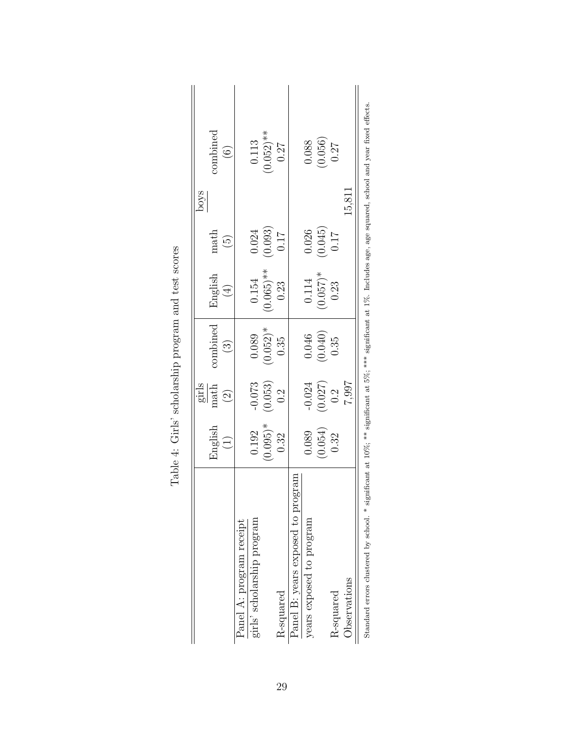|                                              |                                                |                                    |                                                         |                        |                                                | poys   |                                                                                                                        |
|----------------------------------------------|------------------------------------------------|------------------------------------|---------------------------------------------------------|------------------------|------------------------------------------------|--------|------------------------------------------------------------------------------------------------------------------------|
|                                              | English                                        | $\frac{\text{girls}}{\text{math}}$ | combined                                                | English                | math                                           |        | combined                                                                                                               |
|                                              | (1)                                            | (2)                                | $(3)$                                                   | (4)                    | $\widetilde{5}$                                |        | (6)                                                                                                                    |
| Panel A: program receipt                     |                                                |                                    |                                                         |                        |                                                |        |                                                                                                                        |
| girls' scholarship program                   | 0.192                                          | $-0.073$                           | 0.089                                                   | 0.154                  | 0.024                                          |        |                                                                                                                        |
|                                              | $(0.095)^*$<br>0.32                            | $(0.053)$ $0.2$                    | $(0.052)*$<br>0.35                                      | $(0.065)$ **<br>1 0.23 | $\begin{array}{c} (0.093) \\ 0.17 \end{array}$ |        | $(0.113$<br>$(0.052)$ <sup>**</sup><br>$0.27$                                                                          |
| R-squared                                    |                                                |                                    |                                                         |                        |                                                |        |                                                                                                                        |
| Panel B: years exposed to program            |                                                |                                    |                                                         |                        |                                                |        |                                                                                                                        |
| years exposed to program                     | 0.089                                          | $-0.024$                           |                                                         | 0.114                  | 0.026                                          |        | 0.088                                                                                                                  |
|                                              | $\begin{array}{c} (0.054) \\ 0.32 \end{array}$ | $(0.027)$<br>0.2                   | $\begin{array}{c} 0.046 \\ (0.040) \\ 0.35 \end{array}$ | $(0.057)*$<br>0.23     | $\begin{array}{c} 0.045 \\ 0.17 \end{array}$   |        | $\left(0.056\right)$ $0.27$                                                                                            |
| R-squared                                    |                                                |                                    |                                                         |                        |                                                |        |                                                                                                                        |
| Observations                                 |                                                | 7.997                              |                                                         |                        |                                                | 15,811 |                                                                                                                        |
| Standard errors clustered by school. * signi |                                                |                                    |                                                         |                        |                                                |        | ificant at 10%; ** significant at 5%; *** significant at 1%. Includes age, age squared, school and year fixed effects. |

<span id="page-30-0"></span>

| ì<br>くく<br>i                                                                   |
|--------------------------------------------------------------------------------|
| .<br>م م م<br>)<br> <br>                                                       |
| $\frac{1}{2}$<br>֧֧֧֧֦֧֦֧֦֧֦֧֦֧֦֧֦֧֦֧֦֧֦֧֦֧֦֧֦֧֦֧֧֦֧֟֓֕֓֓֓֝֓֓֓֝֓֓֝֓֓֝֓֝֓֜<br>l |
| こうさいさん こうしょうしょうしょう<br>l<br>ĺ                                                   |
| ļ<br>$\frac{1}{1}$<br>i                                                        |
| i<br>$\frac{1}{2}$<br>j<br>֚֚֡                                                 |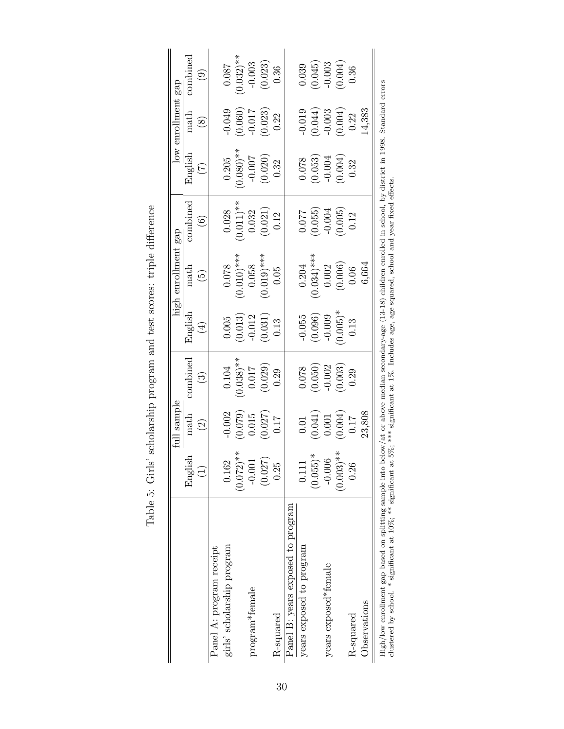|                                                                                                                                                                                                                                                         |              | full sample                               |              |                      | high enrollment                                                                      | gap                   |                   | low enrollment | gap           |
|---------------------------------------------------------------------------------------------------------------------------------------------------------------------------------------------------------------------------------------------------------|--------------|-------------------------------------------|--------------|----------------------|--------------------------------------------------------------------------------------|-----------------------|-------------------|----------------|---------------|
|                                                                                                                                                                                                                                                         | English      | math                                      | combined     | English              | math                                                                                 | combined              | English           | math           | combined      |
|                                                                                                                                                                                                                                                         |              | $\widehat{\mathfrak{Q}}$                  | $\odot$      | $\left( \pm \right)$ | $\widetilde{\mathbb{G}}$                                                             | $\widehat{\odot}$     | $\widetilde{\Xi}$ | $\circledast$  | $\widehat{6}$ |
| Panel A: program receipt                                                                                                                                                                                                                                |              |                                           |              |                      |                                                                                      |                       |                   |                |               |
| girls' scholarship program                                                                                                                                                                                                                              | 0.162        | $-0.002$                                  | 0.104        | 0.005                | 0.078                                                                                | 0.028                 | 0.205             | $-0.049$       | 0.087         |
|                                                                                                                                                                                                                                                         | $(0.072)**$  | (0.079)                                   | $(0.038)$ ** | (0.013)              | $(0.010)$ ***                                                                        | $0.011$ <sup>**</sup> | $0.080)**$        | (0.060)        | $(0.032)$ **  |
| program*female                                                                                                                                                                                                                                          | $-0.001$     | 0.015                                     | $0.017$      | $-0.012$             | 0.058                                                                                | 0.032                 | $-0.007$          | $-0.017$       | $-0.003$      |
|                                                                                                                                                                                                                                                         | (0.027)      | (0.027)                                   | (0.029)      | (0.031)              | $(0.019)$ ***                                                                        | (0.021)               | (0.020)           | (0.023)        | (0.023)       |
| R-squared                                                                                                                                                                                                                                               | 0.25         | 71.0                                      | 0.29         | 0.13                 | 0.05                                                                                 | 0.12                  | 0.32              | 0.22           | 0.36          |
| Panel B: years exposed to program                                                                                                                                                                                                                       |              |                                           |              |                      |                                                                                      |                       |                   |                |               |
| years exposed to program                                                                                                                                                                                                                                | 0.111        | 0.01                                      | 0.078        | $-0.055$             | 0.204                                                                                | 770.0                 | 0.078             | $-0.019$       | 0.039         |
|                                                                                                                                                                                                                                                         | $(0.055)^*$  | $\left(0.041\right)$ $\left(0.001\right)$ | (0.050)      | (0.096)              | $0.034$ <sup>**</sup>                                                                | (0.055)               | (0.053)           | (0.044)        | (0.045)       |
| years exposed*female                                                                                                                                                                                                                                    | $-0.006$     |                                           | $-0.002$     | $-0.009$             | 0.002                                                                                | $-0.004$              | $-0.004$          | $-0.003$       | $-0.003$      |
|                                                                                                                                                                                                                                                         | $(0.003)$ ** | 0.004)                                    | (0.003)      | $(0.005)$ *          | (0.006)                                                                              | (0.005)               | (0.004)           | (0.004)        | (0.004)       |
| R-squared                                                                                                                                                                                                                                               | 0.26         | 0.17                                      | 0.29         | 0.13                 | 0.06                                                                                 | 0.12                  | 0.32              | 0.22           | 0.36          |
| Observations                                                                                                                                                                                                                                            |              | 23,808                                    |              |                      | 6,664                                                                                |                       |                   | 14,383         |               |
| $\text{High}/\text{low}$ enrollment gap based on splitting sample into below/at or above median secondary-age (13-18) children enrolled in school, by district in 1998. Standard errors<br>clustered by school. * significant at 10%; ** significant at |              |                                           |              |                      | 5%; *** significant at 1%. Includes age, age squared, school and year fixed effects. |                       |                   |                |               |

<span id="page-31-0"></span>Table 5: Girls' scholarship program and test scores: triple difference Table 5: Girls' scholarship program and test scores: triple difference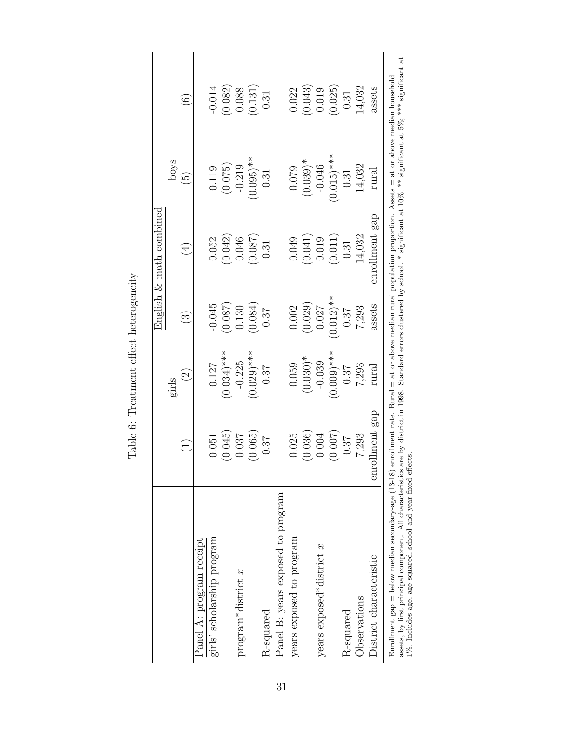|                                                                                                                                                                    |                    |                         |                        | English $\&$ math combined                      |                      |                   |
|--------------------------------------------------------------------------------------------------------------------------------------------------------------------|--------------------|-------------------------|------------------------|-------------------------------------------------|----------------------|-------------------|
|                                                                                                                                                                    |                    | girls                   |                        |                                                 | poys                 |                   |
|                                                                                                                                                                    | $\widehat{\Xi}$    | $\widetilde{\varSigma}$ | $\widehat{\mathbb{C}}$ | $(\pm)$                                         | $\widetilde{\omega}$ | $\widehat{\odot}$ |
| Panel A: program receipt                                                                                                                                           |                    |                         |                        |                                                 |                      |                   |
| girls' scholarship program                                                                                                                                         | 0.051              | 0.127                   | $-0.045$               | 0.052                                           | 0.119                | $-0.014$          |
|                                                                                                                                                                    | (0.045)            | $(0.034)$ ***           | (780.0)                | (0.042)                                         | (0.075)              | (0.082)           |
| $program*distinct x$                                                                                                                                               | 0.037              | $-0.225$                | 0.130                  | 0.046                                           | $-0.219$             | 0.088             |
|                                                                                                                                                                    | (0.065)            | $(0.029)$ ***           | (0.084)                | (780.0)                                         | $(0.095)$ **         | (0.131)           |
| R-squared                                                                                                                                                          | 0.37               | 0.37                    | 0.37                   | 0.31                                            | 0.31                 | 0.31              |
| Panel B: years exposed to program                                                                                                                                  |                    |                         |                        |                                                 |                      |                   |
| years exposed to program                                                                                                                                           | 0.025              | 0.059                   | 0.002                  | 0.049                                           | 0.079                | 0.022             |
|                                                                                                                                                                    | (0.036)            | $(0.030)*$              | (0.029)                |                                                 | $(0.039)$ *          | (0.043)           |
| years exposed*district $x$                                                                                                                                         | 0.004              | $-0.039$                | 0.027                  | $\begin{array}{c} (0.041) \\ 0.019 \end{array}$ | $-0.046$             | 0.019             |
|                                                                                                                                                                    | (0.007)            | $(0.009)$ ***           | $0.012$ <sup>**</sup>  | (0.011)                                         | $(0.015)$ ***        | (0.025)           |
| R-squared                                                                                                                                                          | 0.37               | 0.37                    | 0.37                   | 0.31                                            | 0.31                 | 0.31              |
| Observations                                                                                                                                                       | 7,293              | 7,293                   | 7,293                  | 14,032                                          | 14,032               | 14,032            |
| District characteristic                                                                                                                                            | Iment gap<br>enrol | rural                   | assets                 | enrollment gap                                  | rural                | assets            |
| Enrollment gap = below median secondary-age (13-18) enrollment rate. Rural = at or above median rural population proportion. Assets = at or above median household |                    |                         |                        |                                                 |                      |                   |

<span id="page-32-0"></span>Table 6: Treatment effect heterogeneity Table 6: Treatment effect heterogeneity numerative super conventments of the control of the convention of the convention of the convention of the proportion of the convention of the significant at 5%; \*\*\* significant at 5%; \*\*\* significant at 5%; \*\*\* significant assets, by first principal component. All characteristics are by district in 1998. Standard errors clustered by school. \* significant at 10%; \*\* significant at 5%; \*\*\* significant at 1%. Includes age, age squared, school and year fixed effects.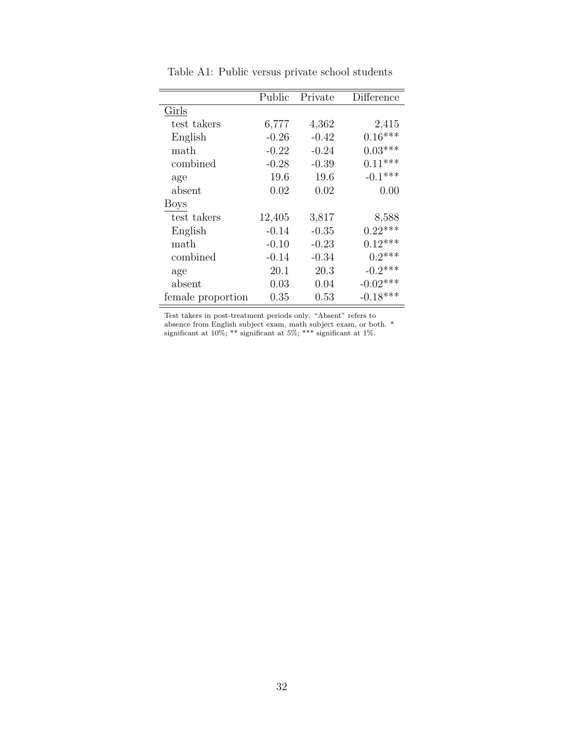<span id="page-33-0"></span>

|                   | Public  | Private | Difference |
|-------------------|---------|---------|------------|
| Girls             |         |         |            |
| test takers       | 6,777   | 4,362   | 2,415      |
| English           | $-0.26$ | $-0.42$ | $0.16***$  |
| math              | $-0.22$ | $-0.24$ | $0.03***$  |
| combined          | $-0.28$ | $-0.39$ | $0.11***$  |
| age               | 19.6    | 19.6    | $-0.1***$  |
| absent            | 0.02    | 0.02    | 0.00       |
| <b>Boys</b>       |         |         |            |
| test takers       | 12,405  | 3,817   | 8,588      |
| English           | $-0.14$ | $-0.35$ | $0.22***$  |
| math              | $-0.10$ | $-0.23$ | $0.12***$  |
| combined          | $-0.14$ | $-0.34$ | $0.2***$   |
| age               | 20.1    | 20.3    | $-0.2$ *** |
| absent            | 0.03    | 0.04    | $-0.02***$ |
| female proportion | 0.35    | 0.53    | $-0.18***$ |

Table A1: Public versus private school students

Test takers in post-treatment periods only. "Absent" refers to absence from English subject exam, math subject exam, or both. \* significant at 10%; \*\* significant at 5%; \*\*\* significant at 1%.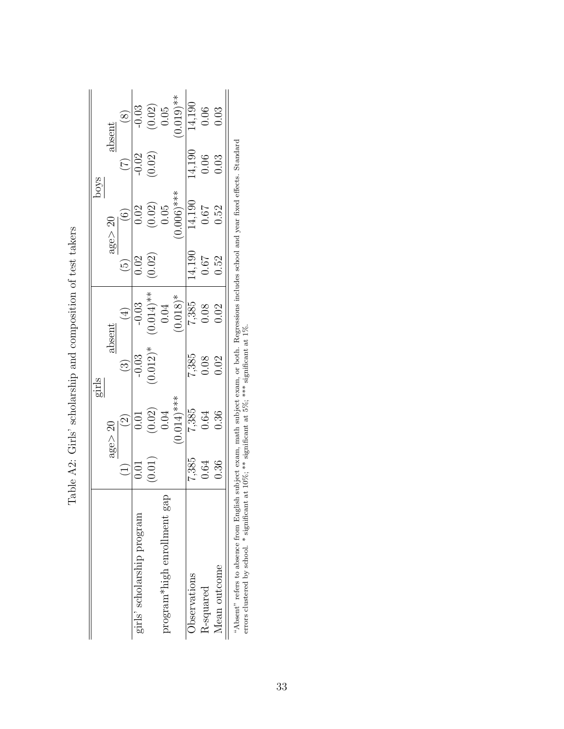|       | $_{\rm absent}$   | $\circledS$             |                            |                                                |                               | $\begin{array}{r} \hline -0.03 \ 0.02) \ 0.05 \ 0.019) * \ \hline 14,190 \ 0.06 \ 0.019 \end{array}$                     |              |                         |              |                                 |
|-------|-------------------|-------------------------|----------------------------|------------------------------------------------|-------------------------------|--------------------------------------------------------------------------------------------------------------------------|--------------|-------------------------|--------------|---------------------------------|
| swoq  |                   | $\widehat{C}$           |                            | $-0.02$<br>$(0.02)$                            |                               |                                                                                                                          | 14,190       | $0.06$<br>$0.03$        |              | アー・コミュ きゃく しゃしゃ アー・アー・コード しゅうしゃ |
|       | age > 20          | $\odot$                 |                            |                                                |                               | $\begin{array}{c c} 0.02 \\ \hline 0.02) \\ 0.05 \\ \hline 0.006) {***} \\ \hline 14,190 \\ 0.67 \\ 0.52 \\ \end{array}$ |              |                         |              |                                 |
|       |                   |                         | 0.02                       | (0.02)                                         |                               |                                                                                                                          | 14,190       | $0.67$ $0.52$           |              |                                 |
|       | $\rm absent$      | $\bigoplus$             |                            |                                                |                               | $\begin{array}{c c} -0.03 \\ -0.03 \\ (0.014)* \\ 0.04 \\ (0.018)* \\ 7,385 \\ 0.08 \\ 0.02 \\ \end{array}$              |              |                         |              |                                 |
| girls |                   | $\widehat{\mathcal{E}}$ | $-0.03$                    | $(0.012)^*$                                    |                               |                                                                                                                          |              | $7,385$<br>0.08<br>0.02 |              |                                 |
|       | $\text{age} > 20$ | $\odot$                 |                            | $(0.01$<br>$(0.02)$<br>$0.04$<br>$(0.014)$ *** |                               |                                                                                                                          |              | $7,385$<br>0.64         | 0.36         |                                 |
|       |                   |                         | 0.01                       | (0.01)                                         |                               |                                                                                                                          |              | $7,385$<br>0.64         | 0.36         |                                 |
|       |                   |                         | girls' scholarship program |                                                | $program*high$ enrollment gap |                                                                                                                          | Observations | R-squared               | Mean outcome |                                 |

<span id="page-34-0"></span>Table A2: Girls' scholarship and composition of test takers Table A2: Girls' scholarship and composition of test takers "Absent" refers to absence from English subject exam, math subject exam, or both. Regressions includes school and year fixed effects. Standard errors clustered by school. \* significant at 10%; \*\* significant at 5%; \*\*\* si "Absent" refers to absence from English subject exam, math subject exam, or both. Regressions includes school and year fixed effects. Standard errors clustered by school. \* significant at 10%; \*\* significant at 5%; \*\*\* significant at 1%.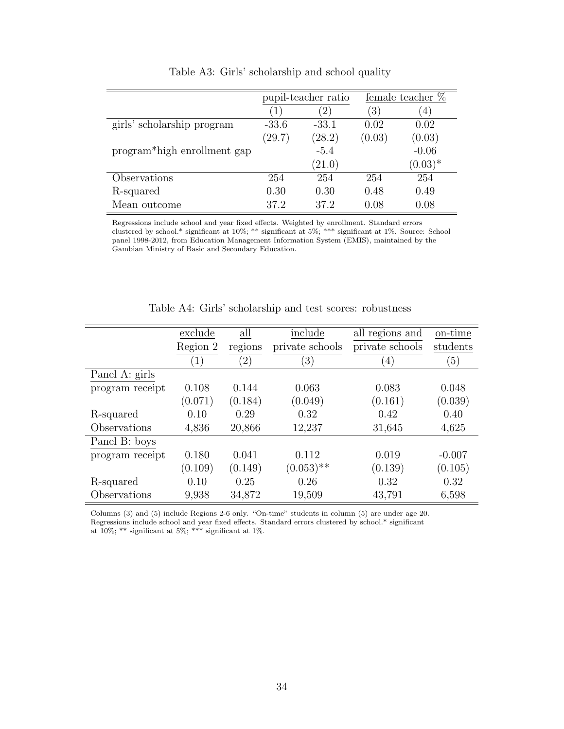<span id="page-35-0"></span>

|                             |           | pupil-teacher ratio |                  | female teacher $%$ |
|-----------------------------|-----------|---------------------|------------------|--------------------|
|                             | $\ket{1}$ | $\left(2\right)$    | $\left(3\right)$ | $\left(4\right)$   |
| girls' scholarship program  | $-33.6$   | $-33.1$             | 0.02             | 0.02               |
|                             | (29.7)    | (28.2)              | (0.03)           | (0.03)             |
| program*high enrollment gap |           | $-5.4$              |                  | $-0.06$            |
|                             |           | (21.0)              |                  | $(0.03)*$          |
| Observations                | 254       | 254                 | 254              | 254                |
| R-squared                   | 0.30      | 0.30                | 0.48             | 0.49               |
| Mean outcome                | 37.2      | 37.2                | 0.08             | 0.08               |

Table A3: Girls' scholarship and school quality

Regressions include school and year fixed effects. Weighted by enrollment. Standard errors clustered by school.\* significant at 10%; \*\* significant at 5%; \*\*\* significant at 1%. Source: School panel 1998-2012, from Education Management Information System (EMIS), maintained by the Gambian Ministry of Basic and Secondary Education.

<span id="page-35-1"></span>

|                 | exclude          | all               | include          | all regions and | on-time          |
|-----------------|------------------|-------------------|------------------|-----------------|------------------|
|                 | Region 2         | regions           | private schools  | private schools | students         |
|                 | $\left(1\right)$ | $\left( 2\right)$ | $\left(3\right)$ | $\overline{4}$  | $\left(5\right)$ |
| Panel A: girls  |                  |                   |                  |                 |                  |
| program receipt | 0.108            | 0.144             | 0.063            | 0.083           | 0.048            |
|                 | (0.071)          | (0.184)           | (0.049)          | (0.161)         | (0.039)          |
| R-squared       | 0.10             | 0.29              | 0.32             | 0.42            | 0.40             |
| Observations    | 4,836            | 20,866            | 12,237           | 31,645          | 4,625            |
| Panel B: boys   |                  |                   |                  |                 |                  |
| program receipt | 0.180            | 0.041             | 0.112            | 0.019           | $-0.007$         |
|                 | (0.109)          | (0.149)           | $(0.053)$ **     | (0.139)         | (0.105)          |
| R-squared       | 0.10             | 0.25              | 0.26             | 0.32            | 0.32             |
| Observations    | 9,938            | 34,872            | 19,509           | 43,791          | 6,598            |

Table A4: Girls' scholarship and test scores: robustness

Columns (3) and (5) include Regions 2-6 only. "On-time" students in column (5) are under age 20. Regressions include school and year fixed effects. Standard errors clustered by school.\* significant at 10%; \*\* significant at 5%; \*\*\* significant at 1%.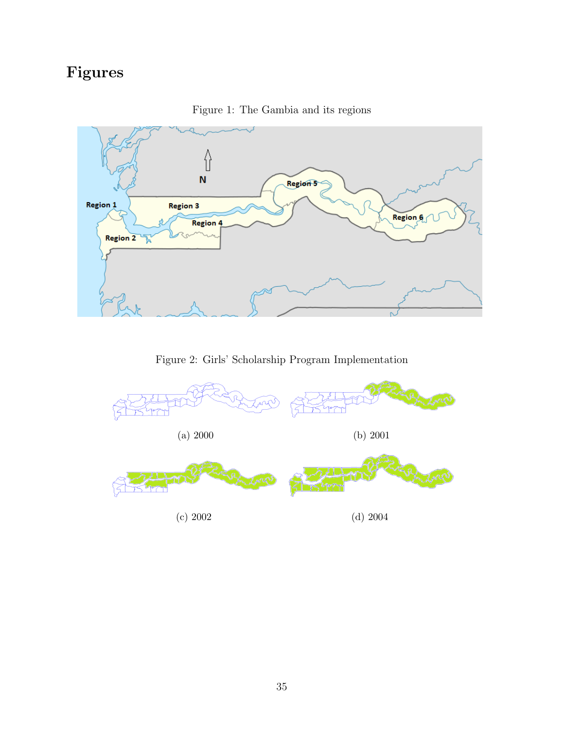# Figures

<span id="page-36-0"></span>

Figure 1: The Gambia and its regions

Figure 2: Girls' Scholarship Program Implementation

<span id="page-36-1"></span>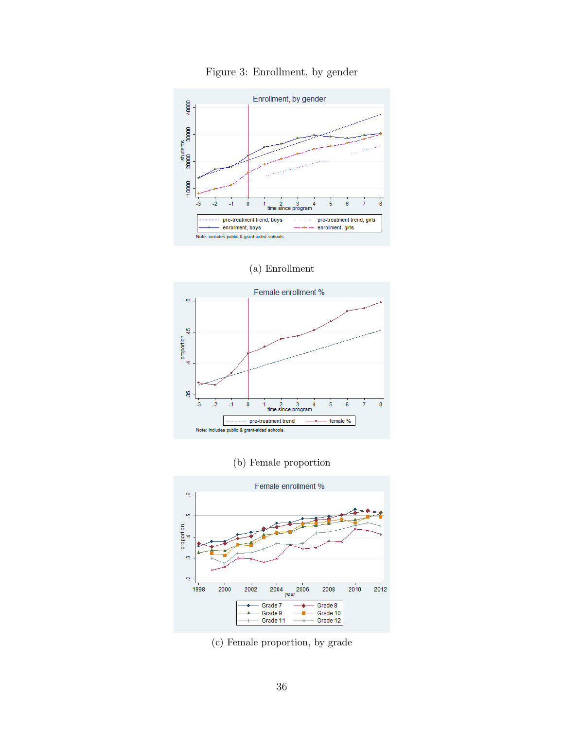<span id="page-37-0"></span>

Figure 3: Enrollment, by gender

(a) Enrollment



(b) Female proportion



(c) Female proportion, by grade